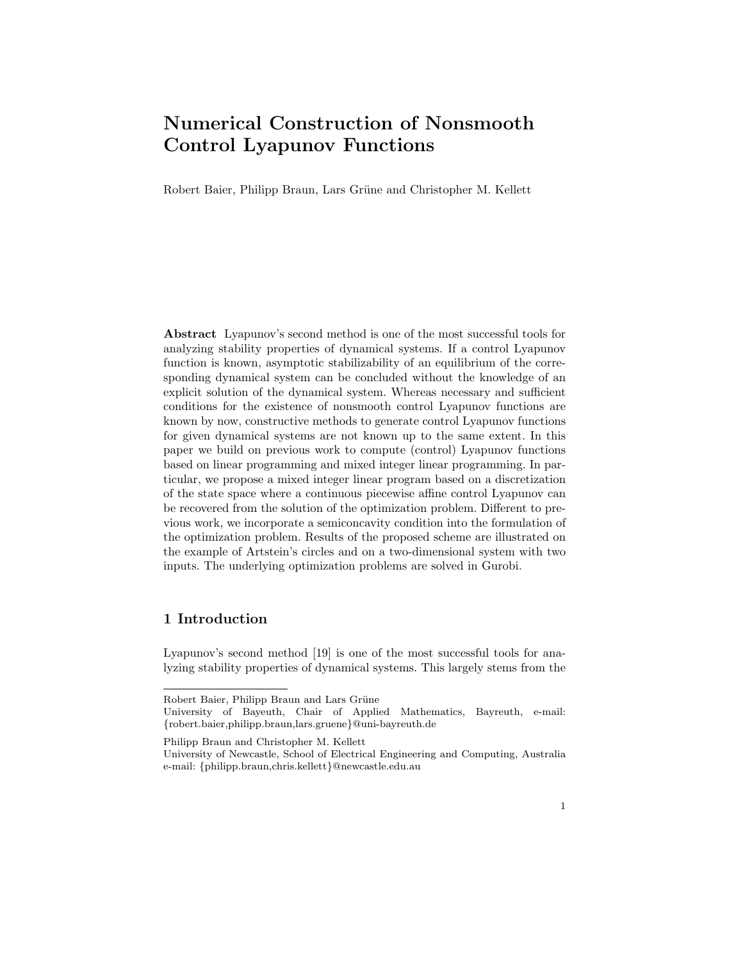# Numerical Construction of Nonsmooth Control Lyapunov Functions

Robert Baier, Philipp Braun, Lars Grüne and Christopher M. Kellett

Abstract Lyapunov's second method is one of the most successful tools for analyzing stability properties of dynamical systems. If a control Lyapunov function is known, asymptotic stabilizability of an equilibrium of the corresponding dynamical system can be concluded without the knowledge of an explicit solution of the dynamical system. Whereas necessary and sufficient conditions for the existence of nonsmooth control Lyapunov functions are known by now, constructive methods to generate control Lyapunov functions for given dynamical systems are not known up to the same extent. In this paper we build on previous work to compute (control) Lyapunov functions based on linear programming and mixed integer linear programming. In particular, we propose a mixed integer linear program based on a discretization of the state space where a continuous piecewise affine control Lyapunov can be recovered from the solution of the optimization problem. Different to previous work, we incorporate a semiconcavity condition into the formulation of the optimization problem. Results of the proposed scheme are illustrated on the example of Artstein's circles and on a two-dimensional system with two inputs. The underlying optimization problems are solved in Gurobi.

# 1 Introduction

Lyapunov's second method [19] is one of the most successful tools for analyzing stability properties of dynamical systems. This largely stems from the

Robert Baier, Philipp Braun and Lars Grüne

University of Bayeuth, Chair of Applied Mathematics, Bayreuth, e-mail: {robert.baier,philipp.braun,lars.gruene}@uni-bayreuth.de

Philipp Braun and Christopher M. Kellett

University of Newcastle, School of Electrical Engineering and Computing, Australia e-mail: {philipp.braun,chris.kellett}@newcastle.edu.au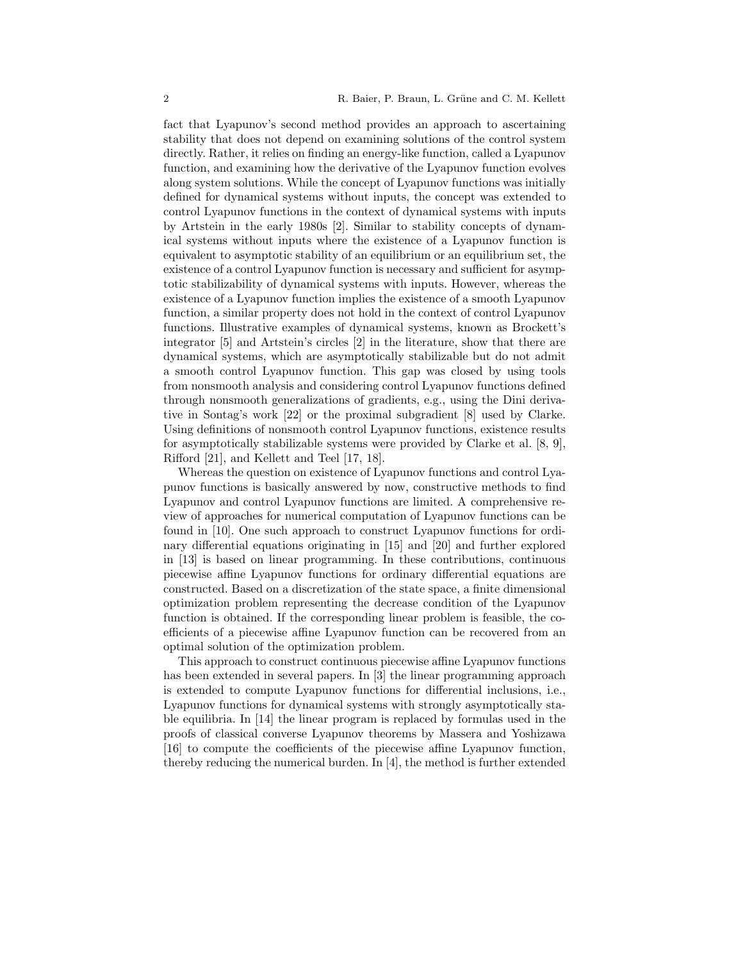fact that Lyapunov's second method provides an approach to ascertaining stability that does not depend on examining solutions of the control system directly. Rather, it relies on finding an energy-like function, called a Lyapunov function, and examining how the derivative of the Lyapunov function evolves along system solutions. While the concept of Lyapunov functions was initially defined for dynamical systems without inputs, the concept was extended to control Lyapunov functions in the context of dynamical systems with inputs by Artstein in the early 1980s [2]. Similar to stability concepts of dynamical systems without inputs where the existence of a Lyapunov function is equivalent to asymptotic stability of an equilibrium or an equilibrium set, the existence of a control Lyapunov function is necessary and sufficient for asymptotic stabilizability of dynamical systems with inputs. However, whereas the existence of a Lyapunov function implies the existence of a smooth Lyapunov function, a similar property does not hold in the context of control Lyapunov functions. Illustrative examples of dynamical systems, known as Brockett's integrator [5] and Artstein's circles [2] in the literature, show that there are dynamical systems, which are asymptotically stabilizable but do not admit a smooth control Lyapunov function. This gap was closed by using tools from nonsmooth analysis and considering control Lyapunov functions defined through nonsmooth generalizations of gradients, e.g., using the Dini derivative in Sontag's work [22] or the proximal subgradient [8] used by Clarke. Using definitions of nonsmooth control Lyapunov functions, existence results for asymptotically stabilizable systems were provided by Clarke et al. [8, 9], Rifford [21], and Kellett and Teel [17, 18].

Whereas the question on existence of Lyapunov functions and control Lyapunov functions is basically answered by now, constructive methods to find Lyapunov and control Lyapunov functions are limited. A comprehensive review of approaches for numerical computation of Lyapunov functions can be found in [10]. One such approach to construct Lyapunov functions for ordinary differential equations originating in [15] and [20] and further explored in [13] is based on linear programming. In these contributions, continuous piecewise affine Lyapunov functions for ordinary differential equations are constructed. Based on a discretization of the state space, a finite dimensional optimization problem representing the decrease condition of the Lyapunov function is obtained. If the corresponding linear problem is feasible, the coefficients of a piecewise affine Lyapunov function can be recovered from an optimal solution of the optimization problem.

This approach to construct continuous piecewise affine Lyapunov functions has been extended in several papers. In [3] the linear programming approach is extended to compute Lyapunov functions for differential inclusions, i.e., Lyapunov functions for dynamical systems with strongly asymptotically stable equilibria. In [14] the linear program is replaced by formulas used in the proofs of classical converse Lyapunov theorems by Massera and Yoshizawa [16] to compute the coefficients of the piecewise affine Lyapunov function, thereby reducing the numerical burden. In [4], the method is further extended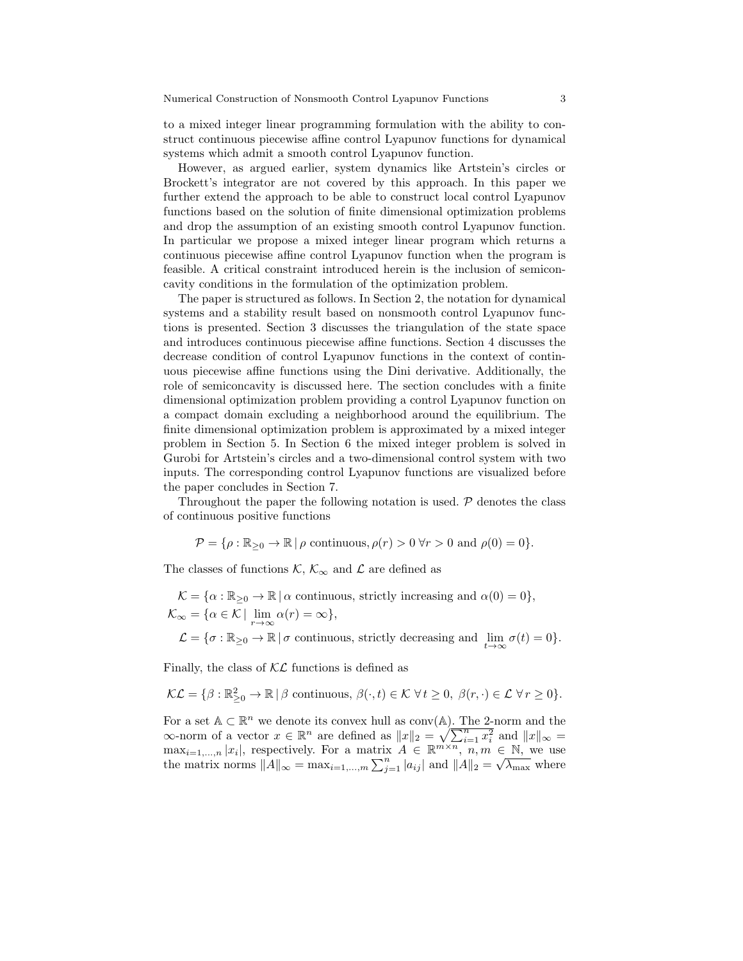to a mixed integer linear programming formulation with the ability to construct continuous piecewise affine control Lyapunov functions for dynamical systems which admit a smooth control Lyapunov function.

However, as argued earlier, system dynamics like Artstein's circles or Brockett's integrator are not covered by this approach. In this paper we further extend the approach to be able to construct local control Lyapunov functions based on the solution of finite dimensional optimization problems and drop the assumption of an existing smooth control Lyapunov function. In particular we propose a mixed integer linear program which returns a continuous piecewise affine control Lyapunov function when the program is feasible. A critical constraint introduced herein is the inclusion of semiconcavity conditions in the formulation of the optimization problem.

The paper is structured as follows. In Section 2, the notation for dynamical systems and a stability result based on nonsmooth control Lyapunov functions is presented. Section 3 discusses the triangulation of the state space and introduces continuous piecewise affine functions. Section 4 discusses the decrease condition of control Lyapunov functions in the context of continuous piecewise affine functions using the Dini derivative. Additionally, the role of semiconcavity is discussed here. The section concludes with a finite dimensional optimization problem providing a control Lyapunov function on a compact domain excluding a neighborhood around the equilibrium. The finite dimensional optimization problem is approximated by a mixed integer problem in Section 5. In Section 6 the mixed integer problem is solved in Gurobi for Artstein's circles and a two-dimensional control system with two inputs. The corresponding control Lyapunov functions are visualized before the paper concludes in Section 7.

Throughout the paper the following notation is used.  $P$  denotes the class of continuous positive functions

$$
\mathcal{P} = \{ \rho : \mathbb{R}_{\geq 0} \to \mathbb{R} \mid \rho \text{ continuous}, \rho(r) > 0 \,\forall r > 0 \text{ and } \rho(0) = 0 \}.
$$

The classes of functions K,  $\mathcal{K}_{\infty}$  and  $\mathcal{L}$  are defined as

$$
\mathcal{K} = \{ \alpha : \mathbb{R}_{\geq 0} \to \mathbb{R} \mid \alpha \text{ continuous, strictly increasing and } \alpha(0) = 0 \},
$$
  

$$
\mathcal{K}_{\infty} = \{ \alpha \in \mathcal{K} \mid \lim_{r \to \infty} \alpha(r) = \infty \},
$$
  

$$
\mathcal{L} = \{ \sigma : \mathbb{R}_{\geq 0} \to \mathbb{R} \mid \sigma \text{ continuous, strictly decreasing and } \lim_{t \to \infty} \sigma(t) = 0 \}.
$$

Finally, the class of  $K\mathcal{L}$  functions is defined as

$$
\mathcal{KL} = \{ \beta : \mathbb{R}^2_{\geq 0} \to \mathbb{R} \mid \beta \text{ continuous}, \ \beta(\cdot, t) \in \mathcal{K} \ \forall t \geq 0, \ \beta(r, \cdot) \in \mathcal{L} \ \forall r \geq 0 \}.
$$

For a set  $A \subset \mathbb{R}^n$  we denote its convex hull as conv(A). The 2-norm and the  $\infty$ -norm of a vector  $x \in \mathbb{R}^n$  are defined as  $||x||_2 = \sqrt{\sum_{i=1}^n x_i^2}$  and  $||x||_{\infty} =$  $\max_{i=1,\dots,n} |x_i|$ , respectively. For a matrix  $A \in \mathbb{R}^{m \times n}$ ,  $n, m \in \mathbb{N}$ , we use  $\max_{i=1,\dots,n} |x_i|$ , respectively. For a matrix  $A \in \mathbb{R}^{\infty}$ ,  $n, m \in \mathbb{N}$ , we use<br>the matrix norms  $||A||_{\infty} = \max_{i=1,\dots,m} \sum_{j=1}^{n} |a_{ij}|$  and  $||A||_2 = \sqrt{\lambda_{\max}}$  where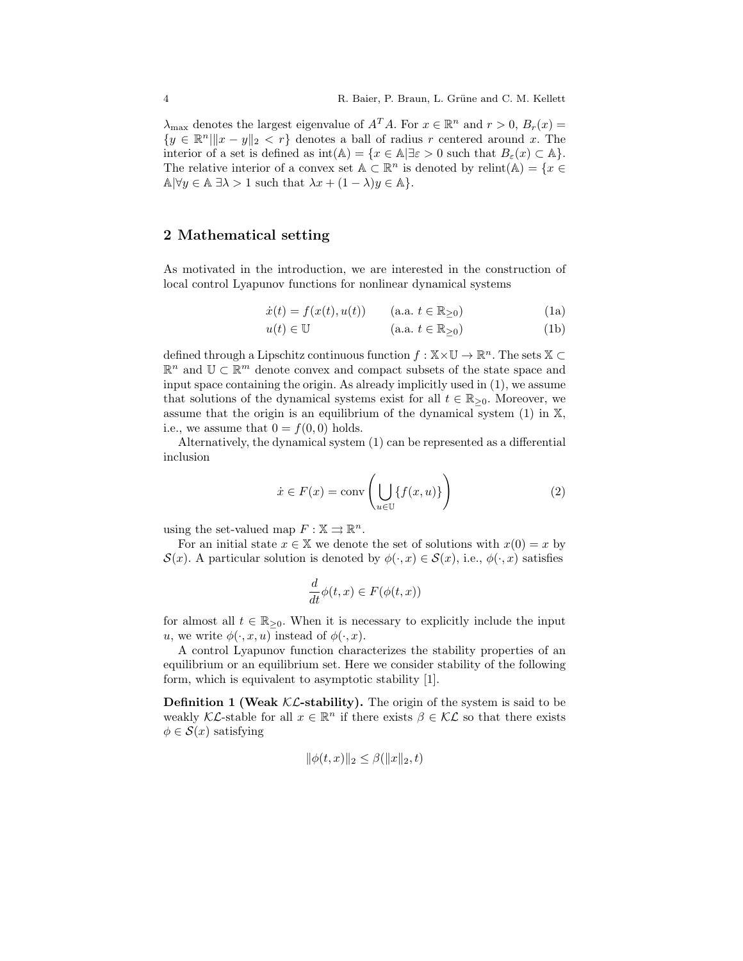$\lambda_{\text{max}}$  denotes the largest eigenvalue of  $A^T A$ . For  $x \in \mathbb{R}^n$  and  $r > 0$ ,  $B_r(x) =$  ${y \in \mathbb{R}^n \|\|x - y\|_2 < r}$  denotes a ball of radius r centered around x. The interior of a set is defined as  $\text{int}(\mathbb{A}) = \{x \in \mathbb{A} | \exists \varepsilon > 0 \text{ such that } B_{\varepsilon}(x) \subset \mathbb{A} \}.$ The relative interior of a convex set  $\mathbb{A} \subset \mathbb{R}^n$  is denoted by  $\text{relint}(\mathbb{A}) = \{x \in$  $\mathbb{A} \, \forall y \in \mathbb{A} \, \exists \lambda > 1 \text{ such that } \lambda x + (1 - \lambda)y \in \mathbb{A} \}.$ 

### 2 Mathematical setting

As motivated in the introduction, we are interested in the construction of local control Lyapunov functions for nonlinear dynamical systems

$$
\dot{x}(t) = f(x(t), u(t)) \qquad \text{(a.a. } t \in \mathbb{R}_{\geq 0}) \tag{1a}
$$

$$
u(t) \in \mathbb{U} \qquad (\text{a.a. } t \in \mathbb{R}_{\geq 0}) \tag{1b}
$$

defined through a Lipschitz continuous function  $f : X \times \mathbb{U} \to \mathbb{R}^n$ . The sets  $X \subset$  $\mathbb{R}^n$  and  $\mathbb{U} \subset \mathbb{R}^m$  denote convex and compact subsets of the state space and input space containing the origin. As already implicitly used in (1), we assume that solutions of the dynamical systems exist for all  $t \in \mathbb{R}_{\geq 0}$ . Moreover, we assume that the origin is an equilibrium of the dynamical system (1) in X, i.e., we assume that  $0 = f(0, 0)$  holds.

Alternatively, the dynamical system (1) can be represented as a differential inclusion

$$
\dot{x} \in F(x) = \text{conv}\left(\bigcup_{u \in \mathbb{U}} \{f(x, u)\}\right) \tag{2}
$$

using the set-valued map  $F : \mathbb{X} \rightrightarrows \mathbb{R}^n$ .

For an initial state  $x \in \mathbb{X}$  we denote the set of solutions with  $x(0) = x$  by  $\mathcal{S}(x)$ . A particular solution is denoted by  $\phi(\cdot, x) \in \mathcal{S}(x)$ , i.e.,  $\phi(\cdot, x)$  satisfies

$$
\frac{d}{dt}\phi(t,x) \in F(\phi(t,x))
$$

for almost all  $t \in \mathbb{R}_{\geq 0}$ . When it is necessary to explicitly include the input u, we write  $\phi(\cdot, x, u)$  instead of  $\phi(\cdot, x)$ .

A control Lyapunov function characterizes the stability properties of an equilibrium or an equilibrium set. Here we consider stability of the following form, which is equivalent to asymptotic stability [1].

**Definition 1 (Weak**  $KL$ **-stability).** The origin of the system is said to be weakly KL-stable for all  $x \in \mathbb{R}^n$  if there exists  $\beta \in \mathcal{KL}$  so that there exists  $\phi \in \mathcal{S}(x)$  satisfying

$$
\|\phi(t, x)\|_2 \le \beta(\|x\|_2, t)
$$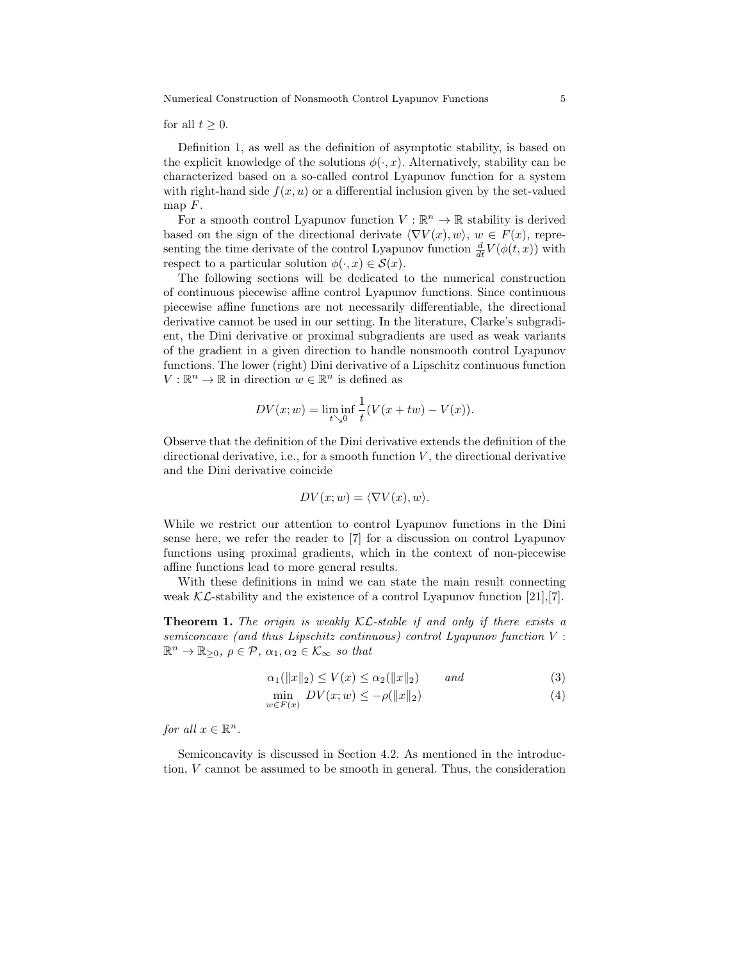Numerical Construction of Nonsmooth Control Lyapunov Functions 5

for all  $t \geq 0$ .

Definition 1, as well as the definition of asymptotic stability, is based on the explicit knowledge of the solutions  $\phi(\cdot, x)$ . Alternatively, stability can be characterized based on a so-called control Lyapunov function for a system with right-hand side  $f(x, u)$  or a differential inclusion given by the set-valued map  $F$ .

For a smooth control Lyapunov function  $V : \mathbb{R}^n \to \mathbb{R}$  stability is derived based on the sign of the directional derivate  $\langle \nabla V(x), w \rangle$ ,  $w \in F(x)$ , representing the time derivate of the control Lyapunov function  $\frac{d}{dt}V(\phi(t,x))$  with respect to a particular solution  $\phi(\cdot, x) \in \mathcal{S}(x)$ .

The following sections will be dedicated to the numerical construction of continuous piecewise affine control Lyapunov functions. Since continuous piecewise affine functions are not necessarily differentiable, the directional derivative cannot be used in our setting. In the literature, Clarke's subgradient, the Dini derivative or proximal subgradients are used as weak variants of the gradient in a given direction to handle nonsmooth control Lyapunov functions. The lower (right) Dini derivative of a Lipschitz continuous function  $V: \mathbb{R}^n \to \mathbb{R}$  in direction  $w \in \mathbb{R}^n$  is defined as

$$
DV(x; w) = \liminf_{t \searrow 0} \frac{1}{t}(V(x + tw) - V(x)).
$$

Observe that the definition of the Dini derivative extends the definition of the directional derivative, i.e., for a smooth function  $V$ , the directional derivative and the Dini derivative coincide

$$
DV(x; w) = \langle \nabla V(x), w \rangle.
$$

While we restrict our attention to control Lyapunov functions in the Dini sense here, we refer the reader to [7] for a discussion on control Lyapunov functions using proximal gradients, which in the context of non-piecewise affine functions lead to more general results.

With these definitions in mind we can state the main result connecting weak  $\mathcal{KL}$ -stability and the existence of a control Lyapunov function [21],[7].

**Theorem 1.** The origin is weakly  $KL$ -stable if and only if there exists a semiconcave (and thus Lipschitz continuous) control Lyapunov function V :  $\mathbb{R}^n \to \mathbb{R}_{\geq 0}, \ \rho \in \mathcal{P}, \ \alpha_1, \alpha_2 \in \mathcal{K}_{\infty} \ \text{so that}$ 

$$
\alpha_1(\|x\|_2) \le V(x) \le \alpha_2(\|x\|_2) \qquad \text{and} \tag{3}
$$

$$
\min_{w \in F(x)} DV(x; w) \le -\rho(\|x\|_2) \tag{4}
$$

for all  $x \in \mathbb{R}^n$ .

Semiconcavity is discussed in Section 4.2. As mentioned in the introduction, V cannot be assumed to be smooth in general. Thus, the consideration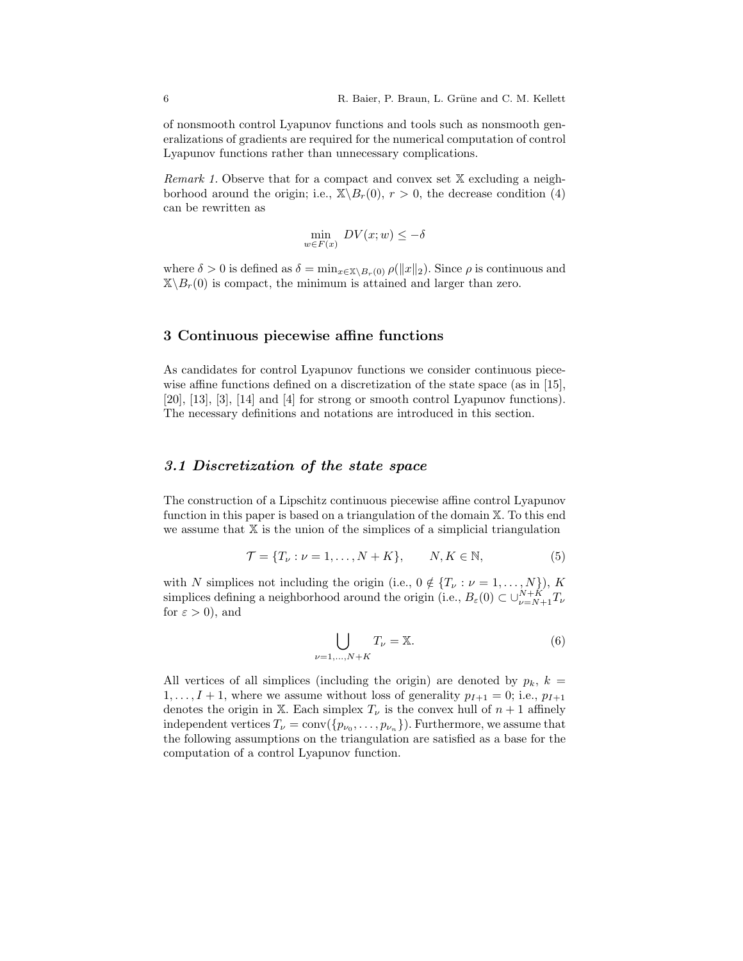of nonsmooth control Lyapunov functions and tools such as nonsmooth generalizations of gradients are required for the numerical computation of control Lyapunov functions rather than unnecessary complications.

*Remark 1.* Observe that for a compact and convex set  $X$  excluding a neighborhood around the origin; i.e.,  $\mathbb{X}\backslash B_r(0)$ ,  $r > 0$ , the decrease condition (4) can be rewritten as

$$
\min_{w \in F(x)} DV(x; w) \le -\delta
$$

where  $\delta > 0$  is defined as  $\delta = \min_{x \in \mathbb{X} \setminus B_r(0)} \rho(\|x\|_2)$ . Since  $\rho$  is continuous and  $\mathbb{X}\setminus B_r(0)$  is compact, the minimum is attained and larger than zero.

### 3 Continuous piecewise affine functions

As candidates for control Lyapunov functions we consider continuous piecewise affine functions defined on a discretization of the state space (as in [15], [20], [13], [3], [14] and [4] for strong or smooth control Lyapunov functions). The necessary definitions and notations are introduced in this section.

### 3.1 Discretization of the state space

The construction of a Lipschitz continuous piecewise affine control Lyapunov function in this paper is based on a triangulation of the domain X. To this end we assume that  $X$  is the union of the simplices of a simplicial triangulation

$$
\mathcal{T} = \{T_{\nu} : \nu = 1, \dots, N + K\}, \qquad N, K \in \mathbb{N},\tag{5}
$$

with N simplices not including the origin (i.e.,  $0 \notin \{T_{\nu} : \nu = 1, \ldots, N\}$ ), K simplices defining a neighborhood around the origin (i.e.,  $B_{\varepsilon}(0) \subset \cup_{\nu=N+1}^{N+K} T_{\nu}$ for  $\varepsilon > 0$ ), and

$$
\bigcup_{\nu=1,\dots,N+K} T_{\nu} = \mathbb{X}.\tag{6}
$$

All vertices of all simplices (including the origin) are denoted by  $p_k$ ,  $k =$  $1, \ldots, I + 1$ , where we assume without loss of generality  $p_{I+1} = 0$ ; i.e.,  $p_{I+1}$ denotes the origin in X. Each simplex  $T_{\nu}$  is the convex hull of  $n + 1$  affinely independent vertices  $T_{\nu} = \text{conv}(\{p_{\nu_0}, \ldots, p_{\nu_n}\})$ . Furthermore, we assume that the following assumptions on the triangulation are satisfied as a base for the computation of a control Lyapunov function.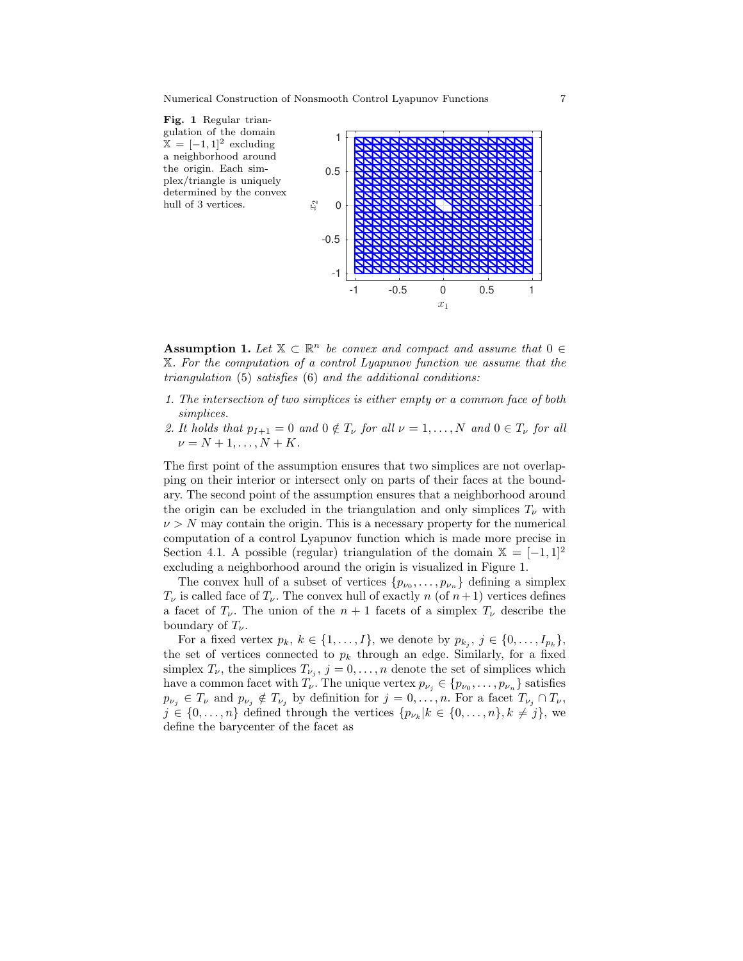

Assumption 1. Let  $\mathbb{X} \subset \mathbb{R}^n$  be convex and compact and assume that  $0 \in$ X. For the computation of a control Lyapunov function we assume that the triangulation (5) satisfies (6) and the additional conditions:

- 1. The intersection of two simplices is either empty or a common face of both simplices.
- 2. It holds that  $p_{I+1} = 0$  and  $0 \notin T_{\nu}$  for all  $\nu = 1, ..., N$  and  $0 \in T_{\nu}$  for all  $\nu = N + 1, \ldots, N + K$ .

The first point of the assumption ensures that two simplices are not overlapping on their interior or intersect only on parts of their faces at the boundary. The second point of the assumption ensures that a neighborhood around the origin can be excluded in the triangulation and only simplices  $T_{\nu}$  with  $\nu > N$  may contain the origin. This is a necessary property for the numerical computation of a control Lyapunov function which is made more precise in Section 4.1. A possible (regular) triangulation of the domain  $\mathbb{X} = [-1,1]^2$ excluding a neighborhood around the origin is visualized in Figure 1.

The convex hull of a subset of vertices  $\{p_{\nu_0}, \ldots, p_{\nu_n}\}\$  defining a simplex  $T_{\nu}$  is called face of  $T_{\nu}$ . The convex hull of exactly n (of  $n+1$ ) vertices defines a facet of  $T_{\nu}$ . The union of the  $n+1$  facets of a simplex  $T_{\nu}$  describe the boundary of  $T_{\nu}$ .

For a fixed vertex  $p_k, k \in \{1, \ldots, I\}$ , we denote by  $p_{k_j}, j \in \{0, \ldots, I_{p_k}\}$ , the set of vertices connected to  $p_k$  through an edge. Similarly, for a fixed simplex  $T_{\nu}$ , the simplices  $T_{\nu_j}$ ,  $j=0,\ldots,n$  denote the set of simplices which have a common facet with  $T_{\nu}$ . The unique vertex  $p_{\nu_j} \in \{p_{\nu_0}, \ldots, p_{\nu_n}\}\$  satisfies  $p_{\nu_j} \in T_{\nu}$  and  $p_{\nu_j} \notin T_{\nu_j}$  by definition for  $j = 0, \ldots, n$ . For a facet  $T_{\nu_j} \cap T_{\nu}$ ,  $j \in \{0, \ldots, n\}$  defined through the vertices  $\{p_{\nu_k} | k \in \{0, \ldots, n\}, k \neq j\}$ , we define the barycenter of the facet as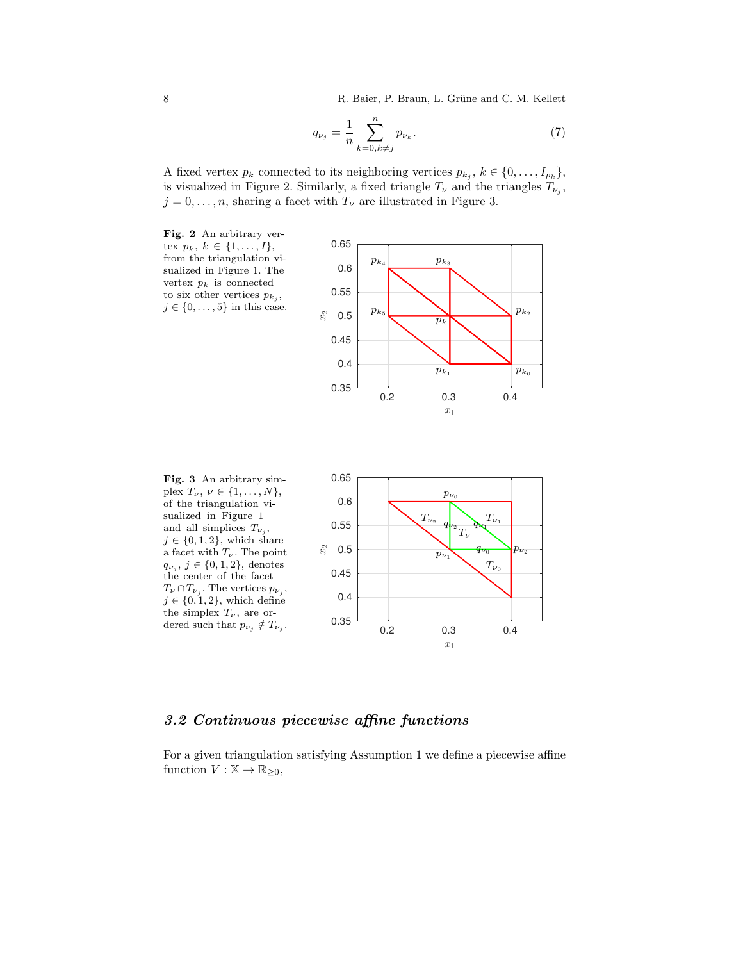8 R. Baier, P. Braun, L. Grüne and C. M. Kellett

$$
q_{\nu_j} = \frac{1}{n} \sum_{k=0, k \neq j}^n p_{\nu_k}.
$$
 (7)

A fixed vertex  $p_k$  connected to its neighboring vertices  $p_{k_j}, k \in \{0, \ldots, I_{p_k}\},$ is visualized in Figure 2. Similarly, a fixed triangle  $T_{\nu}$  and the triangles  $T_{\nu_j}$ ,  $j = 0, \ldots, n$ , sharing a facet with  $T_{\nu}$  are illustrated in Figure 3.



Fig. 3 An arbitrary simplex  $T_{\nu}$ ,  $\nu \in \{1, \ldots, N\},\$ of the triangulation visualized in Figure 1 and all simplices  $T_{\nu_j}$ ,  $j \in \{0, 1, 2\}$ , which share a facet with  $T_\nu.$  The point  $q_{\nu_j}, \, j \in \{0, 1, 2\},\,$ denotes the center of the facet  $T_{\nu} \cap T_{\nu_j}$ . The vertices  $p_{\nu_j}$ ,  $j \in \{0, 1, 2\}$ , which define the simplex  $T_{\nu}$ , are ordered such that  $p_{\nu_j} \notin T_{\nu_j}$ .



# 3.2 Continuous piecewise affine functions

For a given triangulation satisfying Assumption 1 we define a piecewise affine function  $V : \mathbb{X} \to \mathbb{R}_{\geq 0}$ ,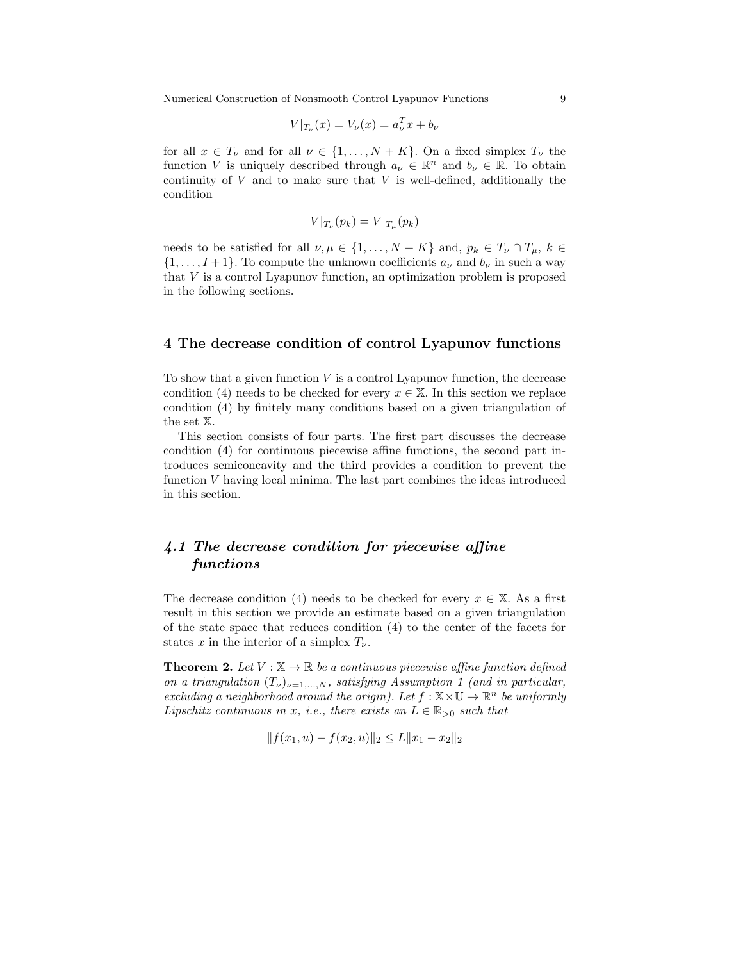Numerical Construction of Nonsmooth Control Lyapunov Functions 9

$$
V|_{T_{\nu}}(x) = V_{\nu}(x) = a_{\nu}^{T}x + b_{\nu}
$$

for all  $x \in T_{\nu}$  and for all  $\nu \in \{1, ..., N + K\}$ . On a fixed simplex  $T_{\nu}$  the function V is uniquely described through  $a_{\nu} \in \mathbb{R}^n$  and  $b_{\nu} \in \mathbb{R}$ . To obtain continuity of  $V$  and to make sure that  $V$  is well-defined, additionally the condition

$$
V|_{T_{\nu}}(p_k) = V|_{T_{\mu}}(p_k)
$$

needs to be satisfied for all  $\nu, \mu \in \{1, ..., N + K\}$  and,  $p_k \in T_{\nu} \cap T_{\mu}$ ,  $k \in$  $\{1,\ldots,I+1\}$ . To compute the unknown coefficients  $a_{\nu}$  and  $b_{\nu}$  in such a way that V is a control Lyapunov function, an optimization problem is proposed in the following sections.

### 4 The decrease condition of control Lyapunov functions

To show that a given function  $V$  is a control Lyapunov function, the decrease condition (4) needs to be checked for every  $x \in \mathbb{X}$ . In this section we replace condition (4) by finitely many conditions based on a given triangulation of the set X.

This section consists of four parts. The first part discusses the decrease condition (4) for continuous piecewise affine functions, the second part introduces semiconcavity and the third provides a condition to prevent the function V having local minima. The last part combines the ideas introduced in this section.

# 4.1 The decrease condition for piecewise affine functions

The decrease condition (4) needs to be checked for every  $x \in X$ . As a first result in this section we provide an estimate based on a given triangulation of the state space that reduces condition (4) to the center of the facets for states x in the interior of a simplex  $T_{\nu}$ .

**Theorem 2.** Let  $V : \mathbb{X} \to \mathbb{R}$  be a continuous piecewise affine function defined on a triangulation  $(T_{\nu})_{\nu=1,\dots,N}$ , satisfying Assumption 1 (and in particular, excluding a neighborhood around the origin). Let  $f : \mathbb{X} \times \mathbb{U} \to \mathbb{R}^n$  be uniformly Lipschitz continuous in x, i.e., there exists an  $L \in \mathbb{R}_{>0}$  such that

$$
|| f(x_1, u) - f(x_2, u)||_2 \le L||x_1 - x_2||_2
$$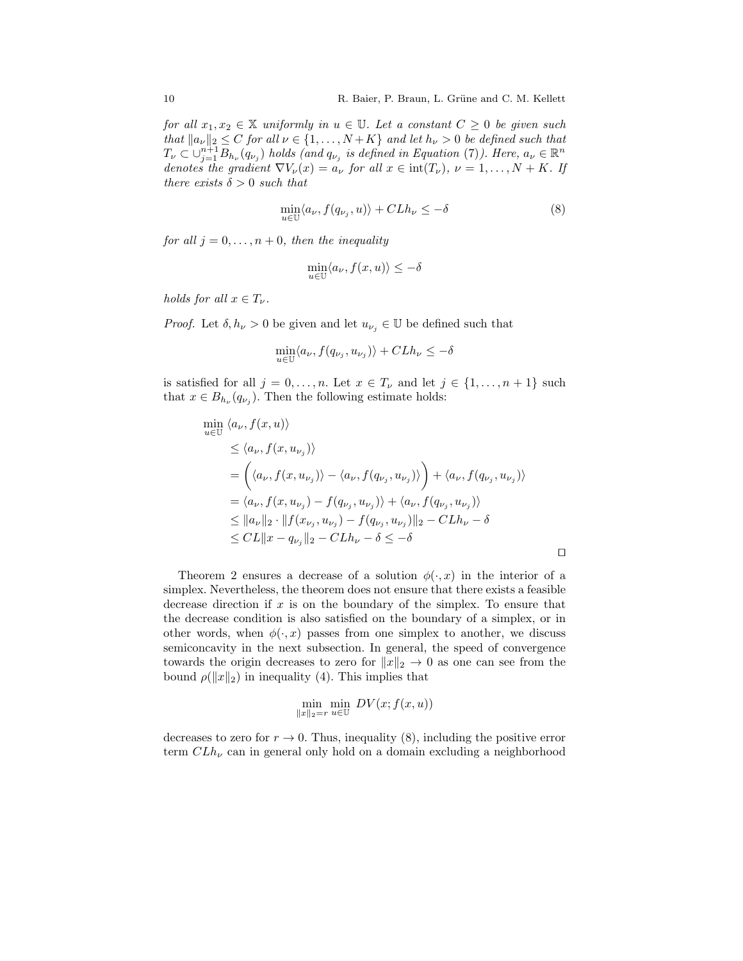for all  $x_1, x_2 \in \mathbb{X}$  uniformly in  $u \in \mathbb{U}$ . Let a constant  $C \geq 0$  be given such that  $||a_{\nu}||_2 \leq C$  for all  $\nu \in \{1, \ldots, N+K\}$  and let  $h_{\nu} > 0$  be defined such that  $T_{\nu} \subset \cup_{j=1}^{n+1} B_{h_{\nu}}(q_{\nu_j})$  holds (and  $q_{\nu_j}$  is defined in Equation (7)). Here,  $a_{\nu} \in \mathbb{R}^n$ denotes the gradient  $\nabla V_\nu(x) = a_\nu$  for all  $x \in \text{int}(T_\nu)$ ,  $\nu = 1, \ldots, N + K$ . If there exists  $\delta > 0$  such that

$$
\min_{u \in \mathbb{U}} \langle a_{\nu}, f(q_{\nu_j}, u) \rangle + C L h_{\nu} \leq -\delta \tag{8}
$$

for all  $j = 0, \ldots, n + 0$ , then the inequality

$$
\min_{u \in \mathbb{U}} \langle a_{\nu}, f(x, u) \rangle \leq -\delta
$$

holds for all  $x \in T_{\nu}$ .

*Proof.* Let  $\delta, h_{\nu} > 0$  be given and let  $u_{\nu_j} \in \mathbb{U}$  be defined such that

$$
\min_{u \in \mathbb{U}} \langle a_{\nu}, f(q_{\nu_j}, u_{\nu_j}) \rangle + C L h_{\nu} \le -\delta
$$

is satisfied for all  $j = 0, \ldots, n$ . Let  $x \in T_{\nu}$  and let  $j \in \{1, \ldots, n+1\}$  such that  $x \in B_{h_{\nu}}(q_{\nu_j})$ . Then the following estimate holds:

$$
\min_{u \in \mathbb{U}} \langle a_{\nu}, f(x, u) \rangle
$$
\n
$$
\leq \langle a_{\nu}, f(x, u_{\nu_j}) \rangle
$$
\n
$$
= \left( \langle a_{\nu}, f(x, u_{\nu_j}) \rangle - \langle a_{\nu}, f(q_{\nu_j}, u_{\nu_j}) \rangle \right) + \langle a_{\nu}, f(q_{\nu_j}, u_{\nu_j}) \rangle
$$
\n
$$
= \langle a_{\nu}, f(x, u_{\nu_j}) - f(q_{\nu_j}, u_{\nu_j}) \rangle + \langle a_{\nu}, f(q_{\nu_j}, u_{\nu_j}) \rangle
$$
\n
$$
\leq ||a_{\nu}||_2 \cdot ||f(x_{\nu_j}, u_{\nu_j}) - f(q_{\nu_j}, u_{\nu_j})||_2 - C L h_{\nu} - \delta
$$
\n
$$
\leq CL ||x - q_{\nu_j}||_2 - C L h_{\nu} - \delta \leq -\delta
$$

Theorem 2 ensures a decrease of a solution  $\phi(\cdot, x)$  in the interior of a simplex. Nevertheless, the theorem does not ensure that there exists a feasible decrease direction if x is on the boundary of the simplex. To ensure that the decrease condition is also satisfied on the boundary of a simplex, or in other words, when  $\phi(\cdot, x)$  passes from one simplex to another, we discuss semiconcavity in the next subsection. In general, the speed of convergence towards the origin decreases to zero for  $||x||_2 \rightarrow 0$  as one can see from the bound  $\rho(\|x\|_2)$  in inequality (4). This implies that

$$
\min_{\|x\|_2 = r} \min_{u \in \mathbb{U}} \, DV(x; f(x, u))
$$

decreases to zero for  $r \to 0$ . Thus, inequality (8), including the positive error term  $CLh<sub>\nu</sub>$  can in general only hold on a domain excluding a neighborhood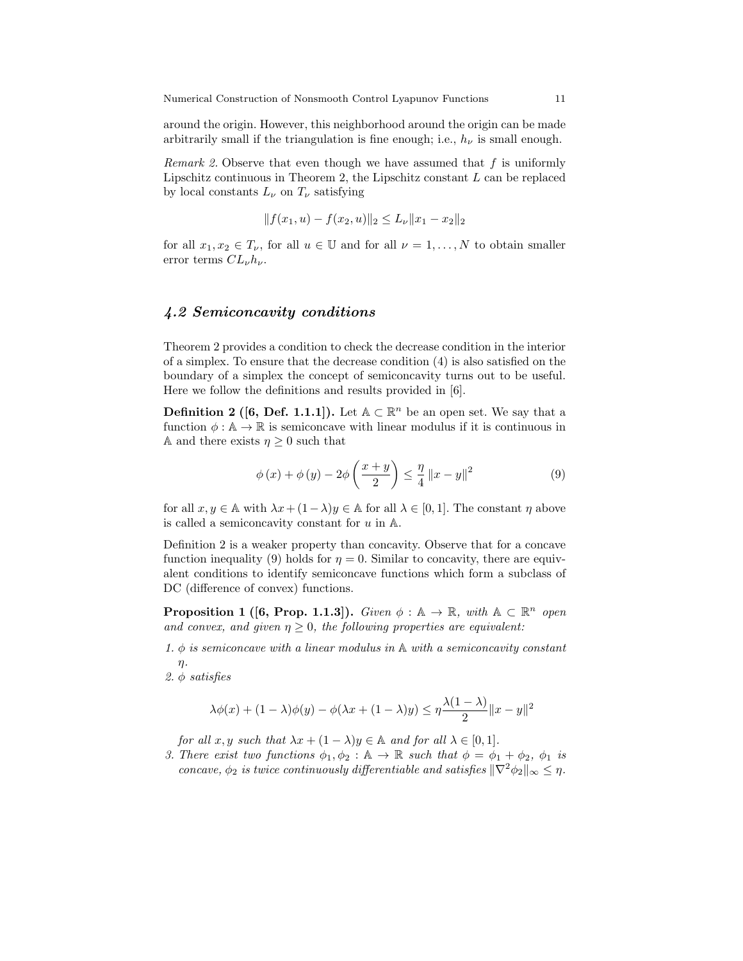around the origin. However, this neighborhood around the origin can be made arbitrarily small if the triangulation is fine enough; i.e.,  $h_{\nu}$  is small enough.

*Remark 2.* Observe that even though we have assumed that f is uniformly Lipschitz continuous in Theorem 2, the Lipschitz constant  $L$  can be replaced by local constants  $L_{\nu}$  on  $T_{\nu}$  satisfying

$$
|| f(x_1, u) - f(x_2, u)||_2 \le L_{\nu} ||x_1 - x_2||_2
$$

for all  $x_1, x_2 \in T_{\nu}$ , for all  $u \in \mathbb{U}$  and for all  $\nu = 1, ..., N$  to obtain smaller error terms  $CL_{\nu}h_{\nu}$ .

### 4.2 Semiconcavity conditions

Theorem 2 provides a condition to check the decrease condition in the interior of a simplex. To ensure that the decrease condition (4) is also satisfied on the boundary of a simplex the concept of semiconcavity turns out to be useful. Here we follow the definitions and results provided in [6].

**Definition 2** ([6, Def. 1.1.1]). Let  $A \subset \mathbb{R}^n$  be an open set. We say that a function  $\phi : \mathbb{A} \to \mathbb{R}$  is semiconcave with linear modulus if it is continuous in A and there exists  $\eta \geq 0$  such that

$$
\phi(x) + \phi(y) - 2\phi\left(\frac{x+y}{2}\right) \le \frac{\eta}{4} \|x - y\|^2 \tag{9}
$$

for all  $x, y \in \mathbb{A}$  with  $\lambda x + (1 - \lambda)y \in \mathbb{A}$  for all  $\lambda \in [0, 1]$ . The constant  $\eta$  above is called a semiconcavity constant for  $u$  in  $\mathbb{A}$ .

Definition 2 is a weaker property than concavity. Observe that for a concave function inequality (9) holds for  $\eta = 0$ . Similar to concavity, there are equivalent conditions to identify semiconcave functions which form a subclass of DC (difference of convex) functions.

**Proposition 1** ([6, Prop. 1.1.3]). Given  $\phi : \mathbb{A} \to \mathbb{R}$ , with  $\mathbb{A} \subset \mathbb{R}^n$  open and convex, and given  $\eta \geq 0$ , the following properties are equivalent:

- 1.  $\phi$  is semiconcave with a linear modulus in A with a semiconcavity constant  $\eta$ .
- 2. φ satisfies

$$
\lambda \phi(x) + (1 - \lambda)\phi(y) - \phi(\lambda x + (1 - \lambda)y) \le \eta \frac{\lambda(1 - \lambda)}{2} \|x - y\|^2
$$

for all  $x, y$  such that  $\lambda x + (1 - \lambda)y \in \mathbb{A}$  and for all  $\lambda \in [0, 1]$ .

3. There exist two functions  $\phi_1, \phi_2 : \mathbb{A} \to \mathbb{R}$  such that  $\phi = \phi_1 + \phi_2$ ,  $\phi_1$  is concave,  $\phi_2$  is twice continuously differentiable and satisfies  $\|\nabla^2 \phi_2\|_{\infty} \leq \eta$ .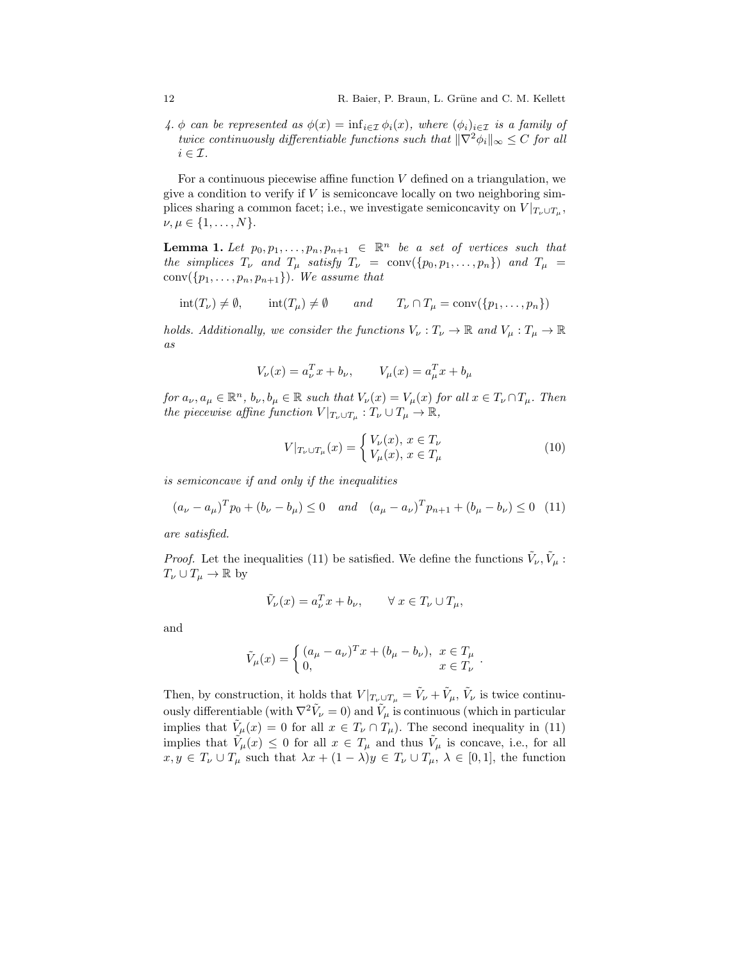4. φ can be represented as  $\phi(x) = \inf_{i \in \mathcal{I}} \phi_i(x)$ , where  $(\phi_i)_{i \in \mathcal{I}}$  is a family of twice continuously differentiable functions such that  $\|\nabla^2 \phi_i\|_{\infty} \leq C$  for all  $i \in \mathcal{I}$ .

For a continuous piecewise affine function  $V$  defined on a triangulation, we give a condition to verify if  $V$  is semiconcave locally on two neighboring simplices sharing a common facet; i.e., we investigate semiconcavity on  $V|_{T_{\nu}\cup T_{\mu}}$ ,  $\nu, \mu \in \{1, \ldots, N\}.$ 

**Lemma 1.** Let  $p_0, p_1, \ldots, p_n, p_{n+1} \in \mathbb{R}^n$  be a set of vertices such that the simplices  $T_{\nu}$  and  $T_{\mu}$  satisfy  $T_{\nu}$  = conv $(\{p_0, p_1, \ldots, p_n\})$  and  $T_{\mu}$  = conv $(\{p_1, \ldots, p_n, p_{n+1}\})$ . We assume that

$$
int(T_{\nu}) \neq \emptyset
$$
,  $int(T_{\mu}) \neq \emptyset$  and  $T_{\nu} \cap T_{\mu} = conv(\{p_1,...,p_n\})$ 

holds. Additionally, we consider the functions  $V_{\nu}: T_{\nu} \to \mathbb{R}$  and  $V_{\mu}: T_{\mu} \to \mathbb{R}$ as

$$
V_{\nu}(x) = a_{\nu}^{T} x + b_{\nu}, \qquad V_{\mu}(x) = a_{\mu}^{T} x + b_{\mu}
$$

for  $a_{\nu}, a_{\mu} \in \mathbb{R}^n$ ,  $b_{\nu}, b_{\mu} \in \mathbb{R}$  such that  $V_{\nu}(x) = V_{\mu}(x)$  for all  $x \in T_{\nu} \cap T_{\mu}$ . Then the piecewise affine function  $V|_{T_{\nu}\cup T_{\mu}}: T_{\nu}\cup T_{\mu}\to \mathbb{R},$ 

$$
V|_{T_{\nu}\cup T_{\mu}}(x) = \begin{cases} V_{\nu}(x), x \in T_{\nu} \\ V_{\mu}(x), x \in T_{\mu} \end{cases}
$$
(10)

is semiconcave if and only if the inequalities

$$
(a_{\nu} - a_{\mu})^T p_0 + (b_{\nu} - b_{\mu}) \le 0 \quad and \quad (a_{\mu} - a_{\nu})^T p_{n+1} + (b_{\mu} - b_{\nu}) \le 0 \quad (11)
$$

are satisfied.

*Proof.* Let the inequalities (11) be satisfied. We define the functions  $\tilde{V}_{\nu}$ ,  $\tilde{V}_{\mu}$ :  $T_\nu \cup T_\mu \to \mathbb{R}$  by

$$
\tilde{V}_{\nu}(x) = a_{\nu}^T x + b_{\nu}, \qquad \forall x \in T_{\nu} \cup T_{\mu},
$$

and

$$
\tilde{V}_{\mu}(x) = \begin{cases}\n(a_{\mu} - a_{\nu})^{T} x + (b_{\mu} - b_{\nu}), & x \in T_{\mu} \\
0, & x \in T_{\nu}\n\end{cases}.
$$

Then, by construction, it holds that  $V|_{T_{\nu}\cup T_{\mu}} = \tilde{V}_{\nu} + \tilde{V}_{\mu}, \tilde{V}_{\nu}$  is twice continuously differentiable (with  $\nabla^2 \tilde{V}_{\nu} = 0$ ) and  $\tilde{V}_{\mu}$  is continuous (which in particular implies that  $\tilde{V}_\mu(x) = 0$  for all  $x \in T_\nu \cap T_\mu$ ). The second inequality in (11) implies that  $\tilde{V}_\mu(x) \leq 0$  for all  $x \in T_\mu$  and thus  $\tilde{V}_\mu$  is concave, i.e., for all  $x, y \in T_{\nu} \cup T_{\mu}$  such that  $\lambda x + (1 - \lambda)y \in T_{\nu} \cup T_{\mu}$ ,  $\lambda \in [0, 1]$ , the function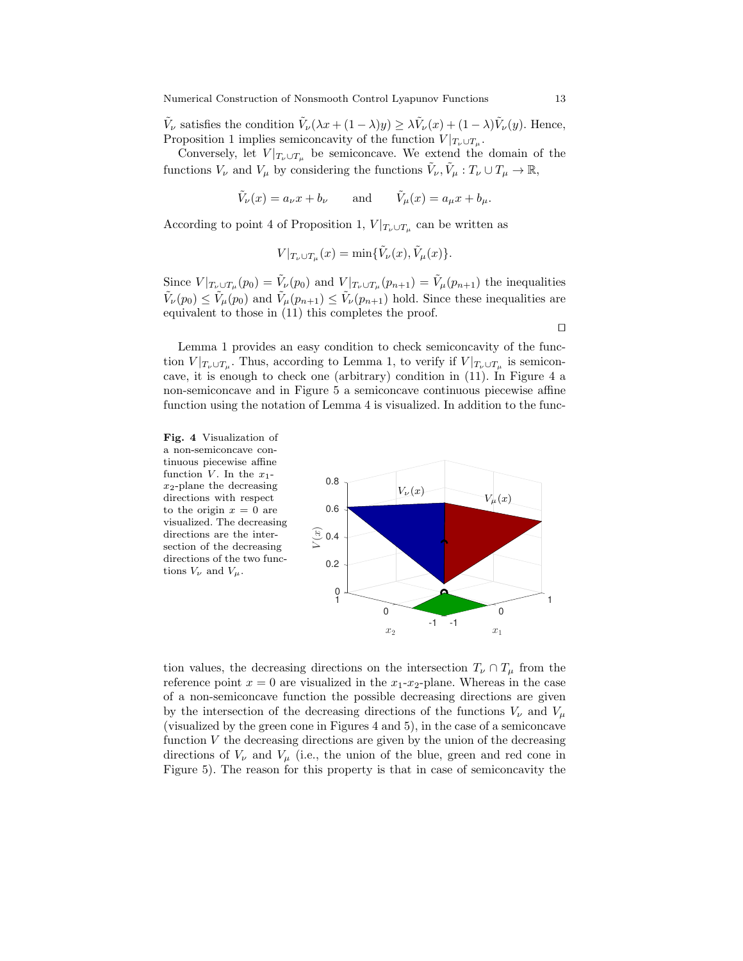$\tilde{V}_{\nu}$  satisfies the condition  $\tilde{V}_{\nu}(\lambda x + (1 - \lambda)y) \geq \lambda \tilde{V}_{\nu}(x) + (1 - \lambda)\tilde{V}_{\nu}(y)$ . Hence, Proposition 1 implies semiconcavity of the function  $V|_{T_{\nu}\cup T_{\mu}}$ .

Conversely, let  $V|_{T_{\nu}\cup T_{\mu}}$  be semiconcave. We extend the domain of the functions  $V_{\nu}$  and  $V_{\mu}$  by considering the functions  $\tilde{V}_{\nu}$ ,  $\tilde{V}_{\mu}: T_{\nu} \cup T_{\mu} \to \mathbb{R}$ ,

$$
\tilde{V}_{\nu}(x) = a_{\nu}x + b_{\nu}
$$
 and  $\tilde{V}_{\mu}(x) = a_{\mu}x + b_{\mu}$ .

According to point 4 of Proposition 1,  $V|_{T_{\nu}\cup T_{\mu}}$  can be written as

$$
V|_{T_{\nu}\cup T_{\mu}}(x)=\min{\{\tilde{V}_{\nu}(x),\tilde{V}_{\mu}(x)\}}.
$$

Since  $V|_{T_{\nu}\cup T_{\mu}}(p_0) = \tilde{V}_{\nu}(p_0)$  and  $V|_{T_{\nu}\cup T_{\mu}}(p_{n+1}) = \tilde{V}_{\mu}(p_{n+1})$  the inequalities  $\tilde{V}_{\nu}(p_0) \le \tilde{V}_{\mu}(p_0)$  and  $\tilde{V}_{\mu}(p_{n+1}) \le \tilde{V}_{\nu}(p_{n+1})$  hold. Since these inequalities are equivalent to those in (11) this completes the proof.

Lemma 1 provides an easy condition to check semiconcavity of the function  $V|_{T_{\nu}\cup T_{\mu}}$ . Thus, according to Lemma 1, to verify if  $V|_{T_{\nu}\cup T_{\mu}}$  is semiconcave, it is enough to check one (arbitrary) condition in (11). In Figure 4 a non-semiconcave and in Figure 5 a semiconcave continuous piecewise affine function using the notation of Lemma 4 is visualized. In addition to the func-

Fig. 4 Visualization of a non-semiconcave continuous piecewise affine function V. In the  $x_1$  $x_2$ -plane the decreasing directions with respect to the origin  $x = 0$  are visualized. The decreasing directions are the intersection of the decreasing directions of the two functions  $V_{\nu}$  and  $V_{\mu}$ .



tion values, the decreasing directions on the intersection  $T_{\nu} \cap T_{\mu}$  from the reference point  $x = 0$  are visualized in the  $x_1-x_2$ -plane. Whereas in the case of a non-semiconcave function the possible decreasing directions are given by the intersection of the decreasing directions of the functions  $V_{\nu}$  and  $V_{\mu}$ (visualized by the green cone in Figures 4 and 5), in the case of a semiconcave function  $V$  the decreasing directions are given by the union of the decreasing directions of  $V_{\nu}$  and  $V_{\mu}$  (i.e., the union of the blue, green and red cone in Figure 5). The reason for this property is that in case of semiconcavity the

 $\Box$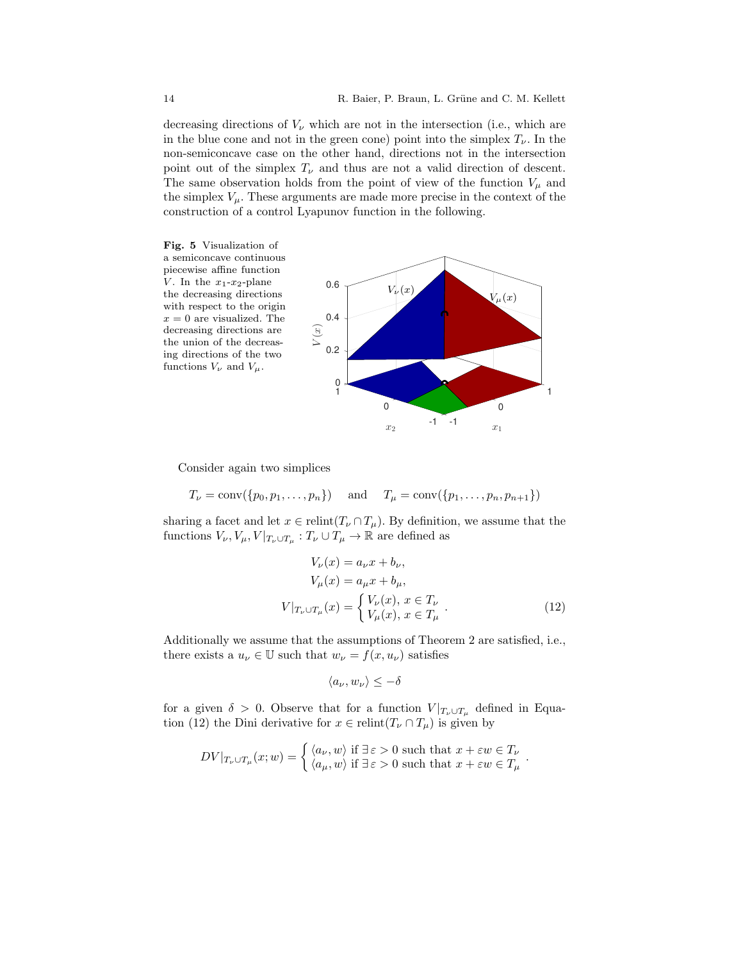decreasing directions of  $V_{\nu}$  which are not in the intersection (i.e., which are in the blue cone and not in the green cone) point into the simplex  $T_{\nu}$ . In the non-semiconcave case on the other hand, directions not in the intersection point out of the simplex  $T_{\nu}$  and thus are not a valid direction of descent. The same observation holds from the point of view of the function  $V_{\mu}$  and the simplex  $V_{\mu}$ . These arguments are made more precise in the context of the construction of a control Lyapunov function in the following.



Consider again two simplices

 $T_{\nu} = \text{conv}(\{p_0, p_1, \ldots, p_n\})$  and  $T_{\mu} = \text{conv}(\{p_1, \ldots, p_n, p_{n+1}\})$ 

sharing a facet and let  $x \in \text{relint}(T_{\nu} \cap T_{\mu})$ . By definition, we assume that the functions  $V_{\nu}, V_{\mu}, V|_{T_{\nu} \cup T_{\mu}} : T_{\nu} \cup T_{\mu} \to \mathbb{R}$  are defined as

$$
V_{\nu}(x) = a_{\nu}x + b_{\nu},
$$
  
\n
$$
V_{\mu}(x) = a_{\mu}x + b_{\mu},
$$
  
\n
$$
V|_{T_{\nu} \cup T_{\mu}}(x) = \begin{cases} V_{\nu}(x), & x \in T_{\nu} \\ V_{\mu}(x), & x \in T_{\mu} \end{cases}.
$$
\n(12)

.

Additionally we assume that the assumptions of Theorem 2 are satisfied, i.e., there exists a  $u_{\nu} \in \mathbb{U}$  such that  $w_{\nu} = f(x, u_{\nu})$  satisfies

$$
\langle a_{\nu}, w_{\nu} \rangle \leq -\delta
$$

for a given  $\delta > 0$ . Observe that for a function  $V|_{T_{\nu}\cup T_{\mu}}$  defined in Equation (12) the Dini derivative for  $x \in \text{relint}(T_{\nu} \cap T_{\mu})$  is given by

$$
DV|_{T_{\nu}\cup T_{\mu}}(x; w) = \begin{cases} \langle a_{\nu}, w \rangle \text{ if } \exists \varepsilon > 0 \text{ such that } x + \varepsilon w \in T_{\nu} \\ \langle a_{\mu}, w \rangle \text{ if } \exists \varepsilon > 0 \text{ such that } x + \varepsilon w \in T_{\mu} \end{cases}
$$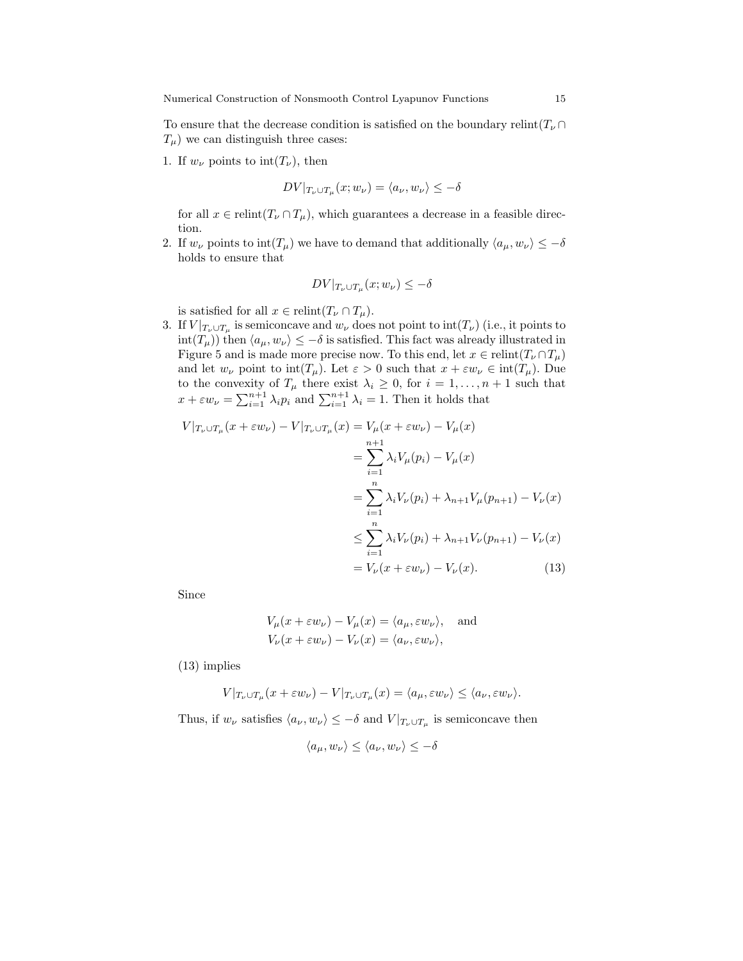To ensure that the decrease condition is satisfied on the boundary relint( $T_{\nu} \cap$  $T_{\mu}$ ) we can distinguish three cases:

1. If  $w_{\nu}$  points to  $\text{int}(T_{\nu})$ , then

$$
DV|_{T_{\nu}\cup T_{\mu}}(x;w_{\nu}) = \langle a_{\nu}, w_{\nu} \rangle \le -\delta
$$

for all  $x \in \text{relint}(T_{\nu} \cap T_{\mu})$ , which guarantees a decrease in a feasible direction.

2. If  $w_{\nu}$  points to  $\text{int}(T_{\mu})$  we have to demand that additionally  $\langle a_{\mu}, w_{\nu} \rangle \leq -\delta$ holds to ensure that

$$
DV|_{T_{\nu}\cup T_{\mu}}(x;w_{\nu}) \leq -\delta
$$

is satisfied for all  $x \in \text{relint}(T_{\nu} \cap T_{\mu}).$ 

3. If  $V|_{T_{\nu}\cup T_{\mu}}$  is semiconcave and  $w_{\nu}$  does not point to  $\mathrm{int}(T_{\nu})$  (i.e., it points to  $\text{int}(T_\mu)$ ) then  $\langle a_\mu, w_\nu \rangle \leq -\delta$  is satisfied. This fact was already illustrated in Figure 5 and is made more precise now. To this end, let  $x \in \text{relint}(T_{\nu} \cap T_{\mu})$ and let  $w_{\nu}$  point to  $\text{int}(T_{\mu})$ . Let  $\varepsilon > 0$  such that  $x + \varepsilon w_{\nu} \in \text{int}(T_{\mu})$ . Due to the convexity of  $T_{\mu}$  there exist  $\lambda_i \geq 0$ , for  $i = 1, \ldots, n+1$  such that  $x + \varepsilon w_{\nu} = \sum_{i=1}^{n+1} \lambda_i p_i$  and  $\sum_{i=1}^{n+1} \lambda_i = 1$ . Then it holds that

$$
V|_{T_{\nu}\cup T_{\mu}}(x+\varepsilon w_{\nu}) - V|_{T_{\nu}\cup T_{\mu}}(x) = V_{\mu}(x+\varepsilon w_{\nu}) - V_{\mu}(x)
$$
  
\n
$$
= \sum_{i=1}^{n+1} \lambda_i V_{\mu}(p_i) - V_{\mu}(x)
$$
  
\n
$$
= \sum_{i=1}^{n} \lambda_i V_{\nu}(p_i) + \lambda_{n+1} V_{\mu}(p_{n+1}) - V_{\nu}(x)
$$
  
\n
$$
\leq \sum_{i=1}^{n} \lambda_i V_{\nu}(p_i) + \lambda_{n+1} V_{\nu}(p_{n+1}) - V_{\nu}(x)
$$
  
\n
$$
= V_{\nu}(x+\varepsilon w_{\nu}) - V_{\nu}(x).
$$
 (13)

Since

$$
V_{\mu}(x + \varepsilon w_{\nu}) - V_{\mu}(x) = \langle a_{\mu}, \varepsilon w_{\nu} \rangle, \text{ and}
$$
  

$$
V_{\nu}(x + \varepsilon w_{\nu}) - V_{\nu}(x) = \langle a_{\nu}, \varepsilon w_{\nu} \rangle,
$$

(13) implies

$$
V|_{T_{\nu}\cup T_{\mu}}(x+\varepsilon w_{\nu})-V|_{T_{\nu}\cup T_{\mu}}(x)=\langle a_{\mu}, \varepsilon w_{\nu}\rangle\leq \langle a_{\nu}, \varepsilon w_{\nu}\rangle.
$$

Thus, if  $w_{\nu}$  satisfies  $\langle a_{\nu}, w_{\nu} \rangle \leq -\delta$  and  $V |_{T_{\nu} \cup T_{\mu}}$  is semiconcave then

$$
\langle a_{\mu}, w_{\nu} \rangle \le \langle a_{\nu}, w_{\nu} \rangle \le -\delta
$$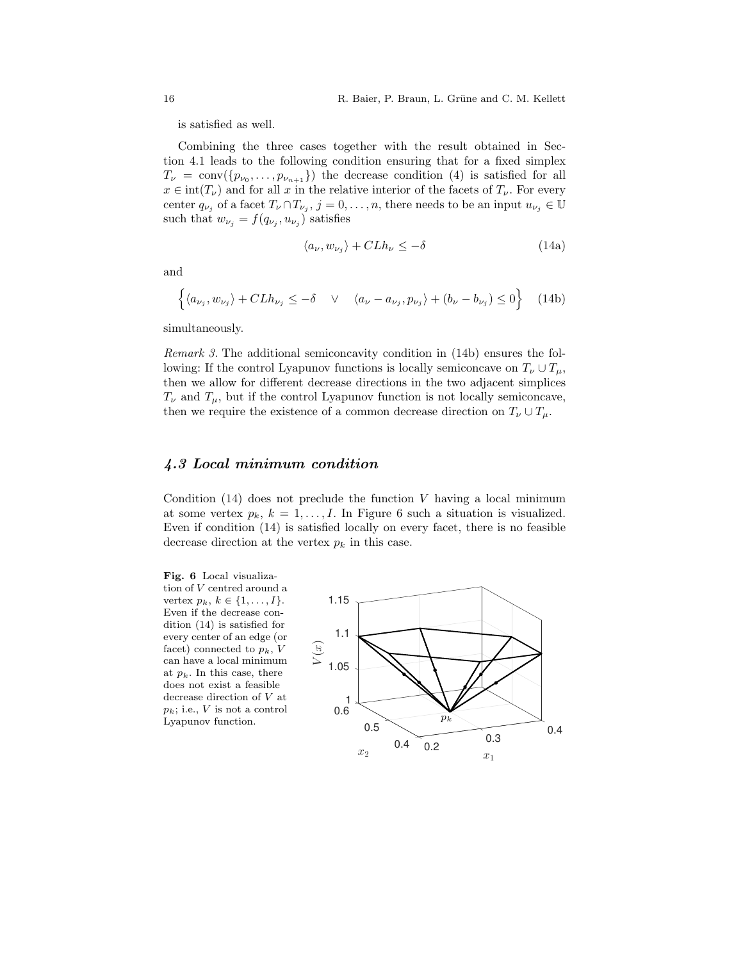is satisfied as well.

Combining the three cases together with the result obtained in Section 4.1 leads to the following condition ensuring that for a fixed simplex  $T_{\nu} = \text{conv}(\{p_{\nu_0}, \ldots, p_{\nu_{n+1}}\})$  the decrease condition (4) is satisfied for all  $x \in \text{int}(T_{\nu})$  and for all x in the relative interior of the facets of  $T_{\nu}$ . For every center  $q_{\nu_j}$  of a facet  $T_{\nu} \cap T_{\nu_j}$ ,  $j = 0, \ldots, n$ , there needs to be an input  $u_{\nu_j} \in \mathbb{U}$ such that  $w_{\nu_j} = f(q_{\nu_j}, u_{\nu_j})$  satisfies

$$
\langle a_{\nu}, w_{\nu_j} \rangle + C L h_{\nu} \le -\delta \tag{14a}
$$

and

$$
\left\{ \langle a_{\nu_j}, w_{\nu_j} \rangle + C L h_{\nu_j} \le -\delta \quad \vee \quad \langle a_{\nu} - a_{\nu_j}, p_{\nu_j} \rangle + (b_{\nu} - b_{\nu_j}) \le 0 \right\} \quad (14b)
$$

simultaneously.

Remark 3. The additional semiconcavity condition in (14b) ensures the following: If the control Lyapunov functions is locally semiconcave on  $T_{\nu} \cup T_{\mu}$ , then we allow for different decrease directions in the two adjacent simplices  $T_{\nu}$  and  $T_{\mu}$ , but if the control Lyapunov function is not locally semiconcave, then we require the existence of a common decrease direction on  $T_{\nu} \cup T_{\mu}$ .

### 4.3 Local minimum condition

Condition  $(14)$  does not preclude the function V having a local minimum at some vertex  $p_k$ ,  $k = 1, ..., I$ . In Figure 6 such a situation is visualized. Even if condition (14) is satisfied locally on every facet, there is no feasible decrease direction at the vertex  $p_k$  in this case.



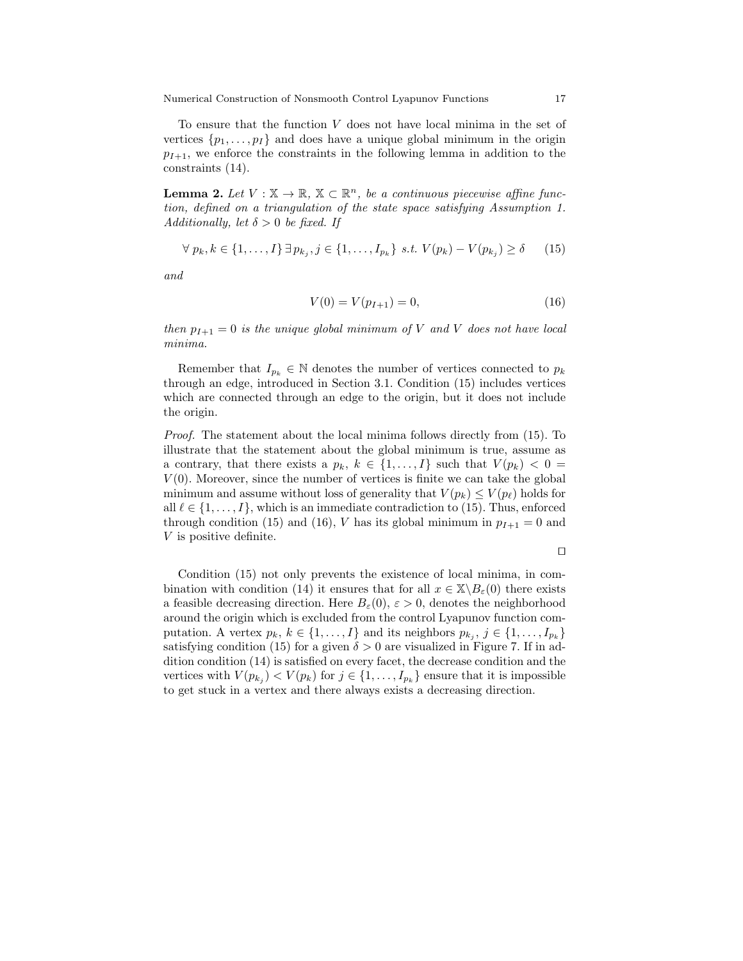Numerical Construction of Nonsmooth Control Lyapunov Functions 17

To ensure that the function  $V$  does not have local minima in the set of vertices  $\{p_1, \ldots, p_I\}$  and does have a unique global minimum in the origin  $p_{I+1}$ , we enforce the constraints in the following lemma in addition to the constraints (14).

**Lemma 2.** Let  $V : \mathbb{X} \to \mathbb{R}, \mathbb{X} \subset \mathbb{R}^n$ , be a continuous piecewise affine function, defined on a triangulation of the state space satisfying Assumption 1. Additionally, let  $\delta > 0$  be fixed. If

$$
\forall p_k, k \in \{1, \ldots, I\} \,\exists p_{k_j}, j \in \{1, \ldots, I_{p_k}\} \,\text{ s.t. } V(p_k) - V(p_{k_j}) \ge \delta \qquad (15)
$$

and

$$
V(0) = V(p_{I+1}) = 0,\t\t(16)
$$

then  $p_{I+1} = 0$  is the unique global minimum of V and V does not have local minima.

Remember that  $I_{p_k} \in \mathbb{N}$  denotes the number of vertices connected to  $p_k$ through an edge, introduced in Section 3.1. Condition (15) includes vertices which are connected through an edge to the origin, but it does not include the origin.

Proof. The statement about the local minima follows directly from (15). To illustrate that the statement about the global minimum is true, assume as a contrary, that there exists a  $p_k, k \in \{1, ..., I\}$  such that  $V(p_k) < 0$  $V(0)$ . Moreover, since the number of vertices is finite we can take the global minimum and assume without loss of generality that  $V(p_k) \le V(p_\ell)$  holds for all  $\ell \in \{1, \ldots, I\}$ , which is an immediate contradiction to (15). Thus, enforced through condition (15) and (16), V has its global minimum in  $p_{I+1} = 0$  and V is positive definite.

 $\Box$ 

Condition (15) not only prevents the existence of local minima, in combination with condition (14) it ensures that for all  $x \in \mathbb{X} \backslash B_{\varepsilon}(0)$  there exists a feasible decreasing direction. Here  $B_{\varepsilon}(0), \varepsilon > 0$ , denotes the neighborhood around the origin which is excluded from the control Lyapunov function computation. A vertex  $p_k, k \in \{1, ..., I\}$  and its neighbors  $p_{k_j}, j \in \{1, ..., I_{p_k}\}\$ satisfying condition (15) for a given  $\delta > 0$  are visualized in Figure 7. If in addition condition (14) is satisfied on every facet, the decrease condition and the vertices with  $V(p_{k_j}) < V(p_k)$  for  $j \in \{1, ..., I_{p_k}\}$  ensure that it is impossible to get stuck in a vertex and there always exists a decreasing direction.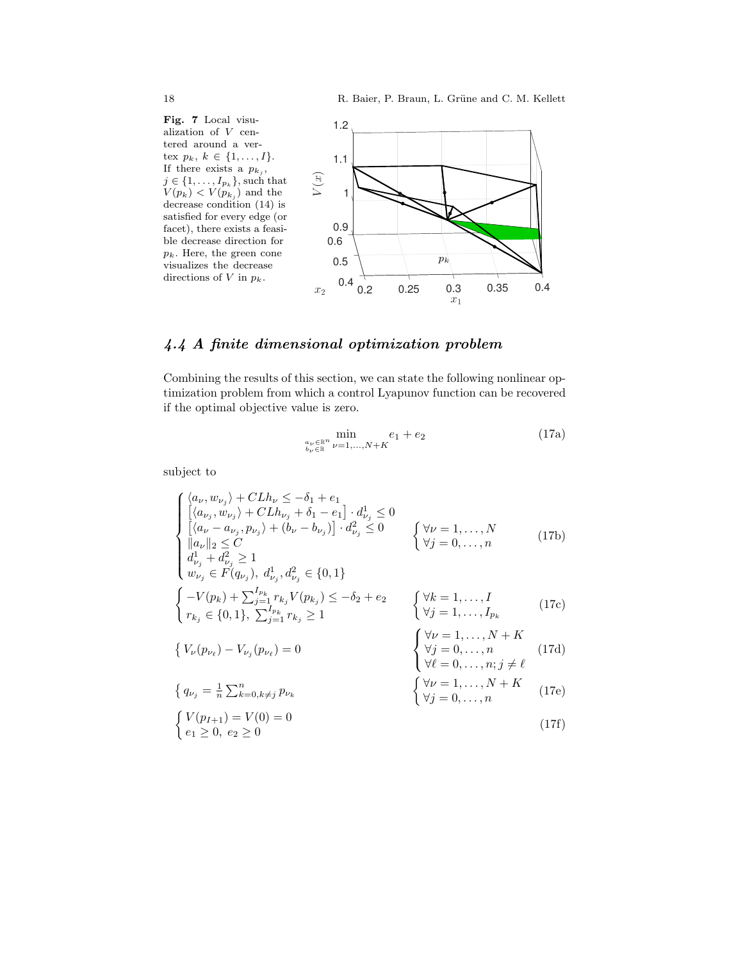Fig. 7 Local visualization of V centered around a vertex  $p_k, k \in \{1, ..., I\}.$ If there exists a  $p_{k_j}$ ,  $j \in \{1, \ldots, I_{p_k}\}$ , such that  $V(p_k) < V(p_{k_j})$  and the decrease condition (14) is satisfied for every edge (or facet), there exists a feasible decrease direction for  $p_k$ . Here, the green cone visualizes the decrease directions of  $V$  in  $p_k$ .



# 4.4 A finite dimensional optimization problem

Combining the results of this section, we can state the following nonlinear optimization problem from which a control Lyapunov function can be recovered if the optimal objective value is zero.

$$
\min_{\substack{a_{\nu} \in \mathbb{R}^n \\ b_{\nu} \in \mathbb{R}}} \min_{\nu=1,\dots,N+K} e_1 + e_2
$$
\n(17a)

subject to

$$
\begin{cases}\n\langle a_{\nu}, w_{\nu_{j}} \rangle + C L h_{\nu} \le -\delta_{1} + e_{1} \\
[\langle a_{\nu_{j}}, w_{\nu_{j}} \rangle + C L h_{\nu_{j}} + \delta_{1} - e_{1}] \cdot d_{\nu_{j}}^{1} \le 0 \\
[\langle a_{\nu} - a_{\nu_{j}}, p_{\nu_{j}} \rangle + (b_{\nu} - b_{\nu_{j}})] \cdot d_{\nu_{j}}^{2} \le 0 \\
\langle a_{\nu} ||_{2} \le C \\
d_{\nu_{j}}^{1} + d_{\nu_{j}}^{2} \ge 1 \\
w_{\nu_{j}} \in F(q_{\nu_{j}}), d_{\nu_{j}}^{1}, d_{\nu_{j}}^{2} \in \{0, 1\} \\
\begin{cases}\n-V(p_{k}) + \sum_{j=1}^{I_{p_{k}}} r_{k_{j}} V(p_{k_{j}}) \le -\delta_{2} + e_{2} \\
r_{k_{j}} \in \{0, 1\}, \sum_{j=1}^{I_{p_{k}}} r_{k_{j}} \ge 1\n\end{cases}\n\quad\n\begin{cases}\n\forall k = 1, ..., N \\
\forall j = 1, ..., I \\
\forall j = 1, ..., I_{p_{k}}\n\end{cases}\n\quad (17c)
$$
\n
$$
\begin{cases}\n\forall \nu = 1, ..., I \\
r_{k_{j}} \in \{0, 1\}, \sum_{j=1}^{I_{p_{k}}} r_{k_{j}} \ge 1\n\end{cases}\n\quad\n\begin{cases}\n\forall k = 1, ..., I \\
\forall j = 1, ..., I_{p_{k}} \\
\forall j = 1, ..., N_{p_{k}}\n\end{cases}\n\quad (17d)
$$
\n
$$
\begin{cases}\n\forall \nu = 1, ..., N + K \\
\forall j = 0, ..., n; j \ne \ell \\
\forall j = 0, ..., N_{j} \ne \ell\n\end{cases}\n\quad\n\begin{cases}\n\forall \nu = 1, ..., N + K \\
\forall j = 0, ..., N_{j} \ne \ell \\
\forall j = 0, ..., n_{j} \ne \ell\n\end{cases}\n\quad (17e)
$$
\n
$$
\begin{cases}\nV(p_{I+1}) = V(0) = 0 \\
e_{1} \ge 0, e_{2} \ge 0\n\end{cases}\n\quad (17f)
$$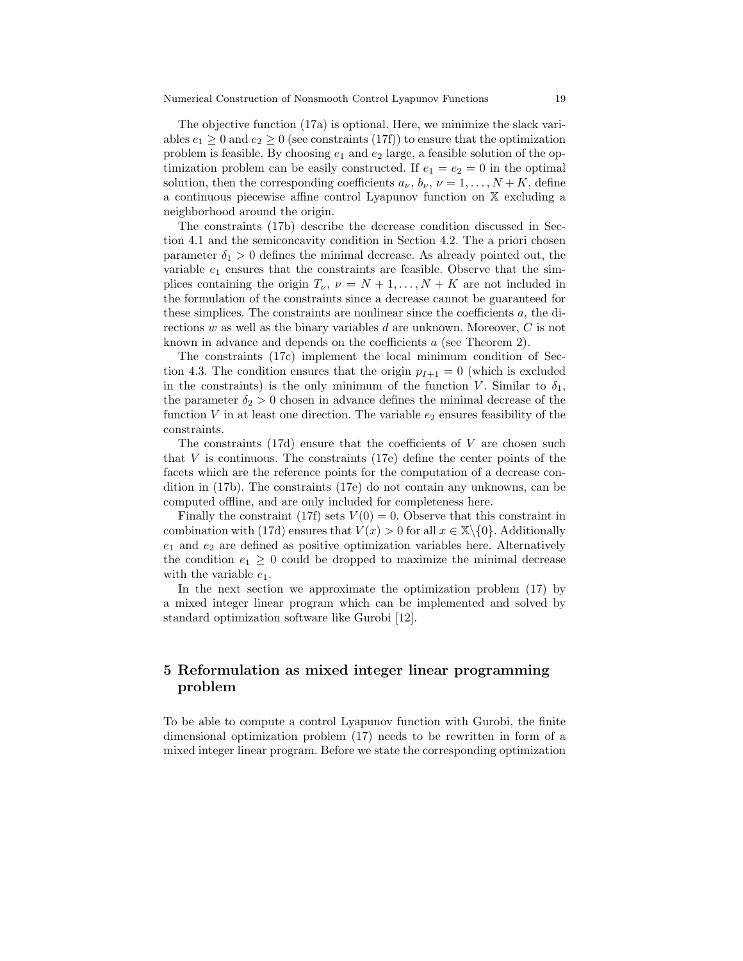The objective function (17a) is optional. Here, we minimize the slack variables  $e_1 \geq 0$  and  $e_2 \geq 0$  (see constraints (17f)) to ensure that the optimization problem is feasible. By choosing  $e_1$  and  $e_2$  large, a feasible solution of the optimization problem can be easily constructed. If  $e_1 = e_2 = 0$  in the optimal solution, then the corresponding coefficients  $a_{\nu}, b_{\nu}, \nu = 1, \ldots, N + K$ , define a continuous piecewise affine control Lyapunov function on X excluding a neighborhood around the origin.

The constraints (17b) describe the decrease condition discussed in Section 4.1 and the semiconcavity condition in Section 4.2. The a priori chosen parameter  $\delta_1 > 0$  defines the minimal decrease. As already pointed out, the variable  $e_1$  ensures that the constraints are feasible. Observe that the simplices containing the origin  $T_{\nu}$ ,  $\nu = N + 1, \ldots, N + K$  are not included in the formulation of the constraints since a decrease cannot be guaranteed for these simplices. The constraints are nonlinear since the coefficients a, the directions  $w$  as well as the binary variables  $d$  are unknown. Moreover,  $C$  is not known in advance and depends on the coefficients a (see Theorem 2).

The constraints (17c) implement the local minimum condition of Section 4.3. The condition ensures that the origin  $p_{I+1} = 0$  (which is excluded in the constraints) is the only minimum of the function V. Similar to  $\delta_1$ , the parameter  $\delta_2 > 0$  chosen in advance defines the minimal decrease of the function  $V$  in at least one direction. The variable  $e_2$  ensures feasibility of the constraints.

The constraints  $(17d)$  ensure that the coefficients of V are chosen such that  $V$  is continuous. The constraints (17e) define the center points of the facets which are the reference points for the computation of a decrease condition in (17b). The constraints (17e) do not contain any unknowns, can be computed offline, and are only included for completeness here.

Finally the constraint (17f) sets  $V(0) = 0$ . Observe that this constraint in combination with (17d) ensures that  $V(x) > 0$  for all  $x \in \mathbb{X}\setminus\{0\}$ . Additionally  $e_1$  and  $e_2$  are defined as positive optimization variables here. Alternatively the condition  $e_1 \geq 0$  could be dropped to maximize the minimal decrease with the variable  $e_1$ .

In the next section we approximate the optimization problem (17) by a mixed integer linear program which can be implemented and solved by standard optimization software like Gurobi [12].

# 5 Reformulation as mixed integer linear programming problem

To be able to compute a control Lyapunov function with Gurobi, the finite dimensional optimization problem (17) needs to be rewritten in form of a mixed integer linear program. Before we state the corresponding optimization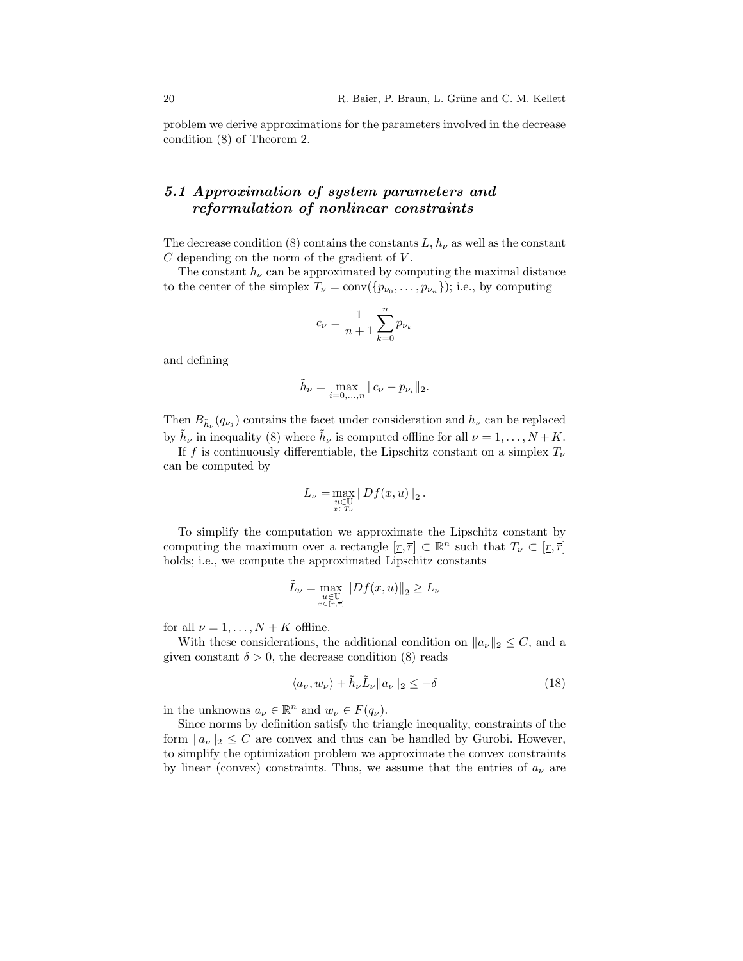problem we derive approximations for the parameters involved in the decrease condition (8) of Theorem 2.

# 5.1 Approximation of system parameters and reformulation of nonlinear constraints

The decrease condition (8) contains the constants  $L, h_{\nu}$  as well as the constant  $C$  depending on the norm of the gradient of  $V$ .

The constant  $h_{\nu}$  can be approximated by computing the maximal distance to the center of the simplex  $T_{\nu} = \text{conv}(\{p_{\nu_0}, \ldots, p_{\nu_n}\})$ ; i.e., by computing

$$
c_{\nu} = \frac{1}{n+1} \sum_{k=0}^{n} p_{\nu_k}
$$

and defining

$$
\tilde{h}_{\nu} = \max_{i=0,...,n} ||c_{\nu} - p_{\nu_i}||_2.
$$

Then  $B_{\tilde{h}_{\nu}}(q_{\nu_j})$  contains the facet under consideration and  $h_{\nu}$  can be replaced by  $\tilde{h}_{\nu}$  in inequality (8) where  $\tilde{h}_{\nu}$  is computed offline for all  $\nu = 1, \ldots, N + K$ .

If f is continuously differentiable, the Lipschitz constant on a simplex  $T_{\nu}$ can be computed by

$$
L_{\nu} = \max_{\substack{u \in \mathbb{U} \\ x \in T_{\nu}}} \|Df(x, u)\|_2.
$$

To simplify the computation we approximate the Lipschitz constant by computing the maximum over a rectangle  $[\underline{r}, \overline{r}] \subset \mathbb{R}^n$  such that  $T_{\nu} \subset [\underline{r}, \overline{r}]$ holds; i.e., we compute the approximated Lipschitz constants

$$
\tilde{L}_{\nu} = \max_{\substack{u \in \mathbb{U} \\ x \in [x, \overline{r}]} } \|Df(x, u)\|_2 \ge L_{\nu}
$$

for all  $\nu = 1, \ldots, N + K$  offline.

With these considerations, the additional condition on  $||a_{\nu}||_2 \leq C$ , and a given constant  $\delta > 0$ , the decrease condition (8) reads

$$
\langle a_{\nu}, w_{\nu} \rangle + \tilde{h}_{\nu} \tilde{L}_{\nu} \| a_{\nu} \|_{2} \leq -\delta \tag{18}
$$

in the unknowns  $a_{\nu} \in \mathbb{R}^n$  and  $w_{\nu} \in F(q_{\nu}).$ 

Since norms by definition satisfy the triangle inequality, constraints of the form  $||a_{\nu}||_2 \leq C$  are convex and thus can be handled by Gurobi. However, to simplify the optimization problem we approximate the convex constraints by linear (convex) constraints. Thus, we assume that the entries of  $a_{\nu}$  are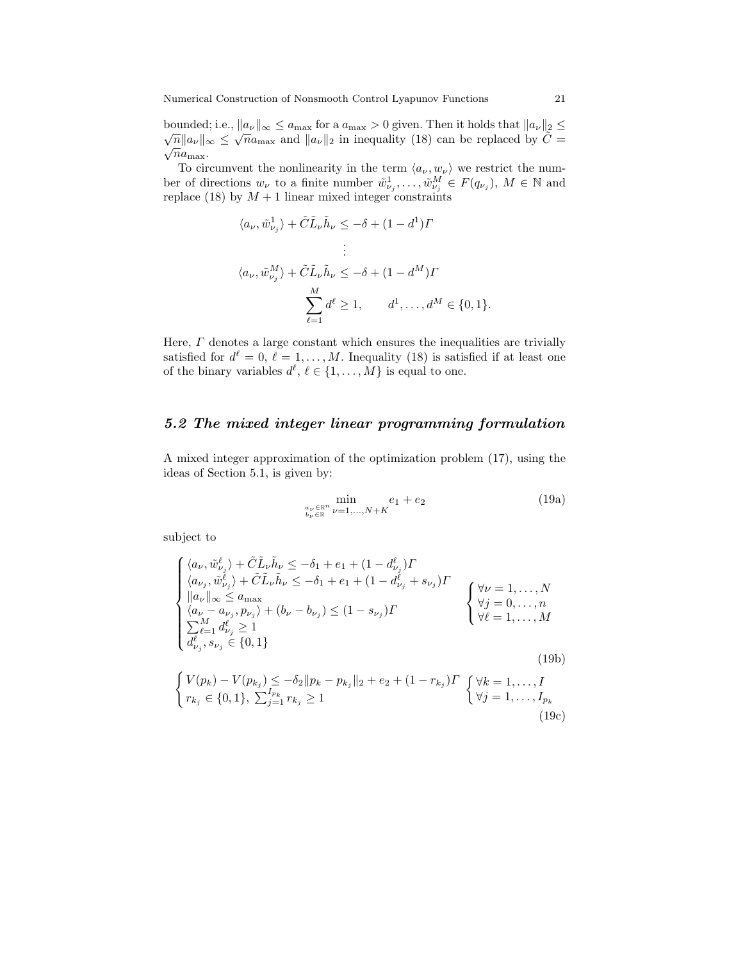bounded; i.e.,  $||a_{\nu}||_{\infty} \le a_{\text{max}}$  for a  $a_{\text{max}} > 0$  given. Then it holds that  $||a_{\nu}||_2 \le$  $\sqrt{n}||a_{\nu}||_{\infty} \leq \sqrt{n}a_{\max}$  and  $||a_{\nu}||_2$  in inequality (18) can be replaced by  $\tilde{C} =$  $\sqrt{n}a_{\text{max}}.$ 

To circumvent the nonlinearity in the term  $\langle a_{\nu}, w_{\nu} \rangle$  we restrict the number of directions  $w_{\nu}$  to a finite number  $\tilde{w}_{\nu_j}^1, \ldots, \tilde{w}_{\nu_j}^M \in F(q_{\nu_j}), M \in \mathbb{N}$  and replace (18) by  $M + 1$  linear mixed integer constraints

$$
\langle a_{\nu}, \tilde{w}_{\nu_j}^1 \rangle + \tilde{C} \tilde{L}_{\nu} \tilde{h}_{\nu} \le -\delta + (1 - d^1) \Gamma
$$
  
\n
$$
\vdots
$$
  
\n
$$
\langle a_{\nu}, \tilde{w}_{\nu_j}^M \rangle + \tilde{C} \tilde{L}_{\nu} \tilde{h}_{\nu} \le -\delta + (1 - d^M) \Gamma
$$
  
\n
$$
\sum_{\ell=1}^M d^{\ell} \ge 1, \qquad d^1, \dots, d^M \in \{0, 1\}.
$$

Here,  $\Gamma$  denotes a large constant which ensures the inequalities are trivially satisfied for  $d^{\ell} = 0, \ell = 1, ..., M$ . Inequality (18) is satisfied if at least one of the binary variables  $d^{\ell}, \ell \in \{1, \ldots, M\}$  is equal to one.

### 5.2 The mixed integer linear programming formulation

A mixed integer approximation of the optimization problem (17), using the ideas of Section 5.1, is given by:

$$
\min_{\substack{a_{\nu} \in \mathbb{R}^n \\ b_{\nu} \in \mathbb{R}}} \min_{\nu=1,\dots,N+K} e_1 + e_2
$$
\n(19a)

subject to

$$
\begin{cases}\n\langle a_{\nu}, \tilde{w}_{\nu_{j}}^{\ell} \rangle + \tilde{C} \tilde{L}_{\nu} \tilde{h}_{\nu} \leq -\delta_{1} + e_{1} + (1 - d_{\nu_{j}}^{\ell}) \Gamma \\
\langle a_{\nu_{j}}, \tilde{w}_{\nu_{j}}^{\ell} \rangle + \tilde{C} \tilde{L}_{\nu} \tilde{h}_{\nu} \leq -\delta_{1} + e_{1} + (1 - d_{\nu_{j}}^{\ell} + s_{\nu_{j}}) \Gamma \\
\Vert a_{\nu} \Vert_{\infty} \leq a_{\max} \\
\langle a_{\nu} - a_{\nu_{j}}, p_{\nu_{j}} \rangle + (b_{\nu} - b_{\nu_{j}}) \leq (1 - s_{\nu_{j}}) \Gamma \\
\sum_{\ell=1}^{M} d_{\nu_{j}}^{\ell} \geq 1 \\
d_{\nu_{j}}^{\ell}, s_{\nu_{j}} \in \{0, 1\} \\
\int V(p_{k}) - V(p_{k_{j}}) \leq -\delta_{2} \Vert p_{k} - p_{k_{j}} \Vert_{2} + e_{2} + (1 - r_{k_{j}}) \Gamma \begin{cases} \forall k = 1, ..., N \\
\forall k = 1, ..., M \\
\forall j = 1, ..., I_{p_{k}}\n\end{cases}
$$
\n(19b)\n
$$
\begin{cases}\nV(p_{k}) - V(p_{k_{j}}) \leq -\delta_{2} \Vert p_{k} - p_{k_{j}} \Vert_{2} + e_{2} + (1 - r_{k_{j}}) \Gamma \begin{cases} \forall k = 1, ..., I \\
\forall j = 1, ..., I_{p_{k}} \\
\forall j = 1, ..., I_{p_{k}}\n\end{cases}
$$
\n(19c)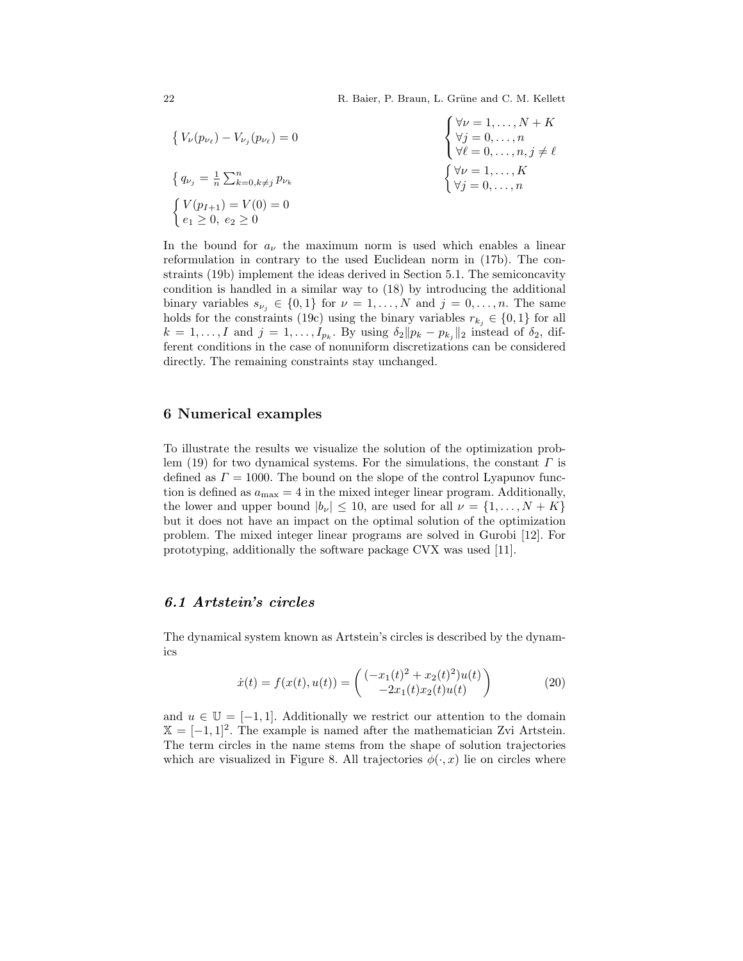22 R. Baier, P. Braun, L. Grüne and C. M. Kellett

$$
\begin{aligned}\n\left\{ V_{\nu}(p_{\nu_{\ell}}) - V_{\nu_{j}}(p_{\nu_{\ell}}) = 0 \right. \\
\left\{ q_{\nu_{j}} = \frac{1}{n} \sum_{k=0, k \neq j}^{n} p_{\nu_{k}} \right\} \\
\left\{ q_{\nu_{j}} = \frac{1}{n} \sum_{k=0, k \neq j}^{n} p_{\nu_{k}} \right. \\
\left\{ V(p_{I+1}) = V(0) = 0 \right. \\
\left\{ e_{1} \geq 0, e_{2} \geq 0 \right. \\
\end{aligned}
$$

In the bound for  $a_{\nu}$  the maximum norm is used which enables a linear reformulation in contrary to the used Euclidean norm in (17b). The constraints (19b) implement the ideas derived in Section 5.1. The semiconcavity condition is handled in a similar way to (18) by introducing the additional binary variables  $s_{\nu_j} \in \{0,1\}$  for  $\nu = 1,\ldots,N$  and  $j = 0,\ldots,n$ . The same holds for the constraints (19c) using the binary variables  $r_{k_i} \in \{0, 1\}$  for all  $k = 1, \ldots, I$  and  $j = 1, \ldots, I_{p_k}$ . By using  $\delta_2 || p_k - p_{k_j} ||_2$  instead of  $\delta_2$ , different conditions in the case of nonuniform discretizations can be considered directly. The remaining constraints stay unchanged.

### 6 Numerical examples

To illustrate the results we visualize the solution of the optimization problem (19) for two dynamical systems. For the simulations, the constant  $\Gamma$  is defined as  $\Gamma = 1000$ . The bound on the slope of the control Lyapunov function is defined as  $a_{\text{max}} = 4$  in the mixed integer linear program. Additionally, the lower and upper bound  $|b_{\nu}| \leq 10$ , are used for all  $\nu = \{1, \ldots, N + K\}$ but it does not have an impact on the optimal solution of the optimization problem. The mixed integer linear programs are solved in Gurobi [12]. For prototyping, additionally the software package CVX was used [11].

### 6.1 Artstein's circles

The dynamical system known as Artstein's circles is described by the dynamics

$$
\dot{x}(t) = f(x(t), u(t)) = \begin{pmatrix} (-x_1(t)^2 + x_2(t)^2)u(t) \\ -2x_1(t)x_2(t)u(t) \end{pmatrix}
$$
 (20)

and  $u \in \mathbb{U} = [-1, 1]$ . Additionally we restrict our attention to the domain  $X = [-1, 1]^2$ . The example is named after the mathematician Zvi Artstein. The term circles in the name stems from the shape of solution trajectories which are visualized in Figure 8. All trajectories  $\phi(\cdot, x)$  lie on circles where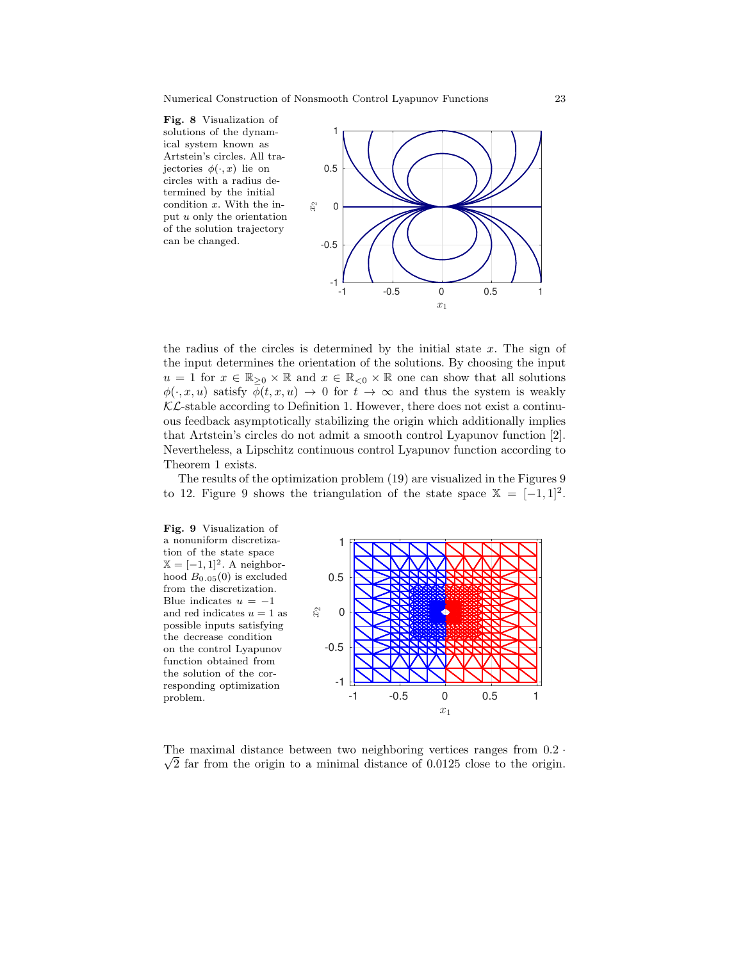



the radius of the circles is determined by the initial state  $x$ . The sign of the input determines the orientation of the solutions. By choosing the input  $u = 1$  for  $x \in \mathbb{R}_{\geq 0} \times \mathbb{R}$  and  $x \in \mathbb{R}_{\leq 0} \times \mathbb{R}$  one can show that all solutions  $\phi(\cdot, x, u)$  satisfy  $\phi(t, x, u) \to 0$  for  $t \to \infty$  and thus the system is weakly  $\mathcal{KL}$ -stable according to Definition 1. However, there does not exist a continuous feedback asymptotically stabilizing the origin which additionally implies that Artstein's circles do not admit a smooth control Lyapunov function [2]. Nevertheless, a Lipschitz continuous control Lyapunov function according to Theorem 1 exists.

The results of the optimization problem (19) are visualized in the Figures 9 to 12. Figure 9 shows the triangulation of the state space  $\mathbb{X} = [-1,1]^2$ .



-1 -0.5 0 0.5 1  $\overline{x}_1$ 

The maximal distance between two neighboring vertices ranges from  $0.2 \cdot$  $\sqrt{2}$  far from the origin to a minimal distance of 0.0125 close to the origin.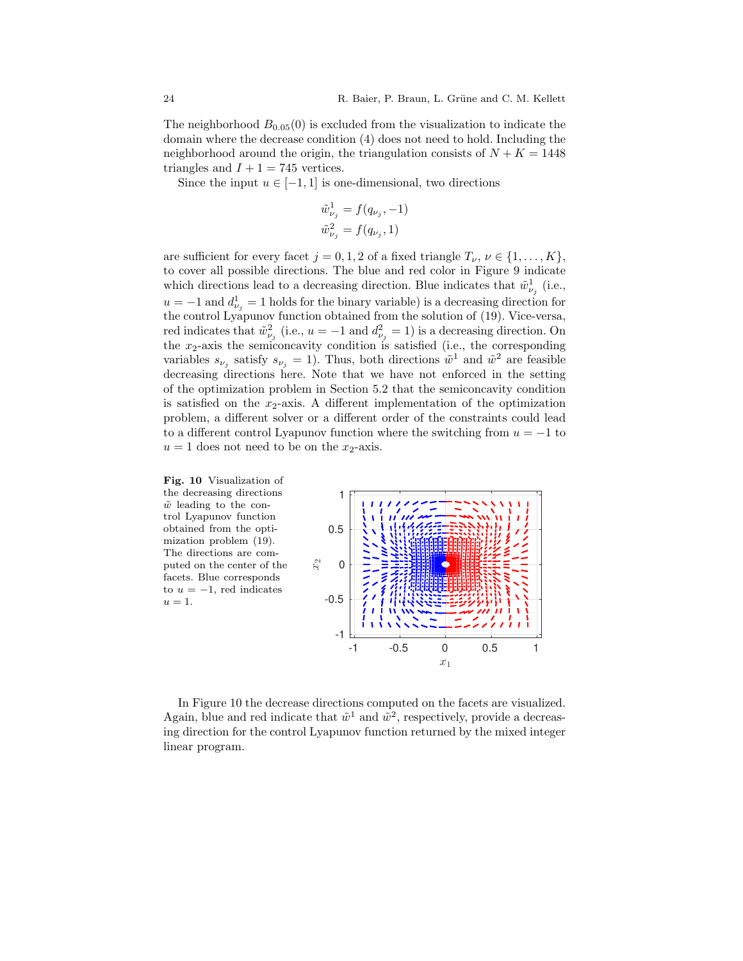The neighborhood  $B_{0.05}(0)$  is excluded from the visualization to indicate the domain where the decrease condition (4) does not need to hold. Including the neighborhood around the origin, the triangulation consists of  $N + K = 1448$ triangles and  $I + 1 = 745$  vertices.

Since the input  $u \in [-1, 1]$  is one-dimensional, two directions

$$
\tilde{w}_{\nu_j}^1 = f(q_{\nu_j}, -1) \n\tilde{w}_{\nu_j}^2 = f(q_{\nu_j}, 1)
$$

are sufficient for every facet  $j = 0, 1, 2$  of a fixed triangle  $T_{\nu}$ ,  $\nu \in \{1, ..., K\}$ , to cover all possible directions. The blue and red color in Figure 9 indicate which directions lead to a decreasing direction. Blue indicates that  $\tilde{w}_{\nu_j}^1$  (i.e.,  $u = -1$  and  $d_{\nu_j}^1 = 1$  holds for the binary variable) is a decreasing direction for the control Lyapunov function obtained from the solution of (19). Vice-versa, red indicates that  $\tilde{w}_{\nu_j}^2$  (i.e.,  $u = -1$  and  $d_{\nu_j}^2 = 1$ ) is a decreasing direction. On the  $x_2$ -axis the semiconcavity condition is satisfied (i.e., the corresponding variables  $s_{\nu_j}$  satisfy  $s_{\nu_j} = 1$ ). Thus, both directions  $\tilde{w}^1$  and  $\tilde{w}^2$  are feasible decreasing directions here. Note that we have not enforced in the setting of the optimization problem in Section 5.2 that the semiconcavity condition is satisfied on the  $x_2$ -axis. A different implementation of the optimization problem, a different solver or a different order of the constraints could lead to a different control Lyapunov function where the switching from  $u = -1$  to  $u = 1$  does not need to be on the  $x_2$ -axis.



In Figure 10 the decrease directions computed on the facets are visualized. Again, blue and red indicate that  $\tilde{w}^1$  and  $\tilde{w}^2$ , respectively, provide a decreasing direction for the control Lyapunov function returned by the mixed integer linear program.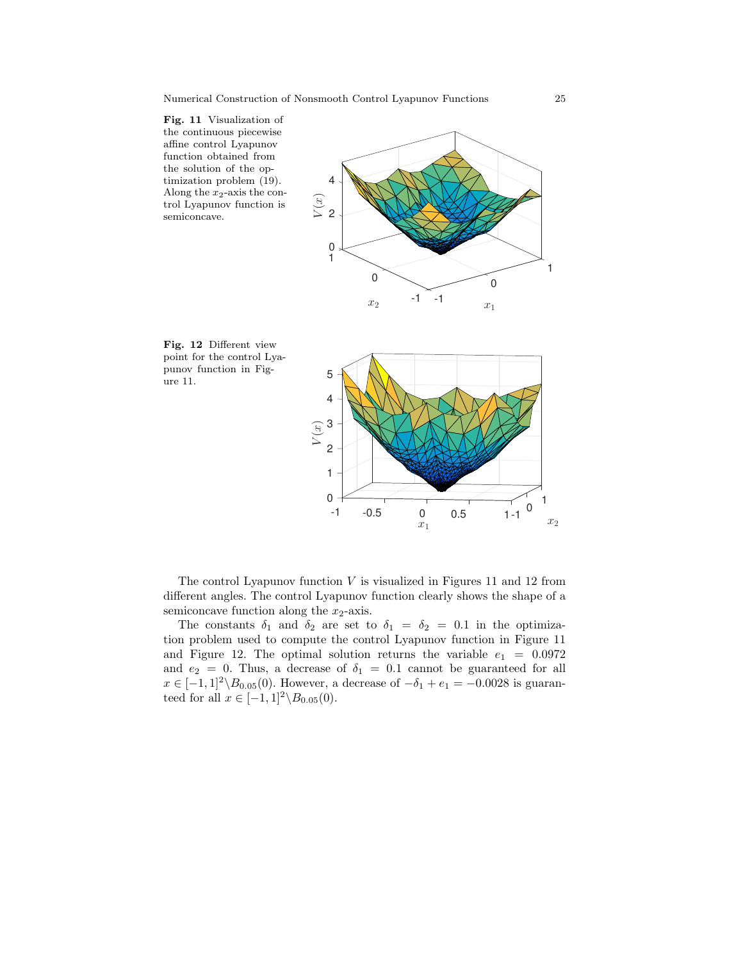







The control Lyapunov function  $V$  is visualized in Figures 11 and 12 from different angles. The control Lyapunov function clearly shows the shape of a semiconcave function along the  $x_2$ -axis.

The constants  $\delta_1$  and  $\delta_2$  are set to  $\delta_1 = \delta_2 = 0.1$  in the optimization problem used to compute the control Lyapunov function in Figure 11 and Figure 12. The optimal solution returns the variable  $e_1 = 0.0972$ and  $e_2 = 0$ . Thus, a decrease of  $\delta_1 = 0.1$  cannot be guaranteed for all  $x \in [-1, 1]^2 \backslash B_{0.05}(0)$ . However, a decrease of  $-\delta_1 + e_1 = -0.0028$  is guaranteed for all  $x \in [-1,1]^2 \backslash B_{0.05}(0)$ .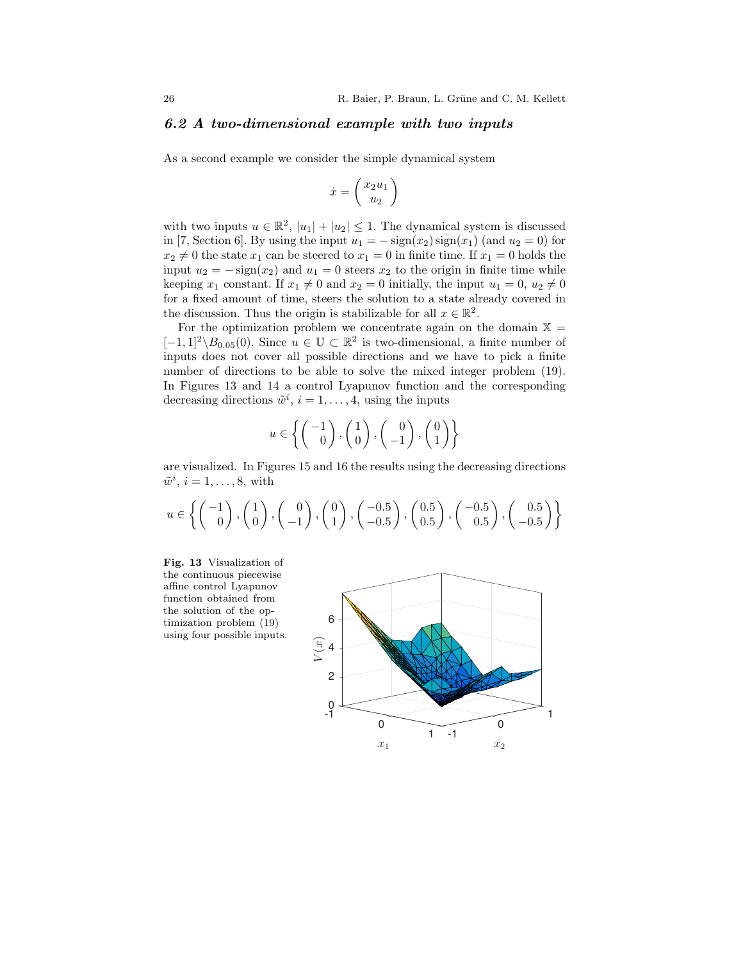### 6.2 A two-dimensional example with two inputs

As a second example we consider the simple dynamical system

$$
\dot{x} = \begin{pmatrix} x_2 u_1 \\ u_2 \end{pmatrix}
$$

with two inputs  $u \in \mathbb{R}^2$ ,  $|u_1| + |u_2| \leq 1$ . The dynamical system is discussed in [7, Section 6]. By using the input  $u_1 = -\text{sign}(x_2)\text{sign}(x_1)$  (and  $u_2 = 0$ ) for  $x_2 \neq 0$  the state  $x_1$  can be steered to  $x_1 = 0$  in finite time. If  $x_1 = 0$  holds the input  $u_2 = -\text{sign}(x_2)$  and  $u_1 = 0$  steers  $x_2$  to the origin in finite time while keeping  $x_1$  constant. If  $x_1 \neq 0$  and  $x_2 = 0$  initially, the input  $u_1 = 0$ ,  $u_2 \neq 0$ for a fixed amount of time, steers the solution to a state already covered in the discussion. Thus the origin is stabilizable for all  $x \in \mathbb{R}^2$ .

For the optimization problem we concentrate again on the domain  $X =$  $[-1,1]^2 \setminus B_{0.05}(0)$ . Since  $u \in \mathbb{U} \subset \mathbb{R}^2$  is two-dimensional, a finite number of inputs does not cover all possible directions and we have to pick a finite number of directions to be able to solve the mixed integer problem (19). In Figures 13 and 14 a control Lyapunov function and the corresponding decreasing directions  $\tilde{w}^i$ ,  $i = 1, \ldots, 4$ , using the inputs

$$
u \in \left\{ \begin{pmatrix} -1 \\ 0 \end{pmatrix}, \begin{pmatrix} 1 \\ 0 \end{pmatrix}, \begin{pmatrix} 0 \\ -1 \end{pmatrix}, \begin{pmatrix} 0 \\ 1 \end{pmatrix} \right\}
$$

are visualized. In Figures 15 and 16 the results using the decreasing directions  $\tilde{w}^i$ ,  $i = 1, \ldots, 8$ , with

$$
u \in \left\{ \begin{pmatrix} -1 \\ 0 \end{pmatrix}, \begin{pmatrix} 1 \\ 0 \end{pmatrix}, \begin{pmatrix} 0 \\ -1 \end{pmatrix}, \begin{pmatrix} 0 \\ 1 \end{pmatrix}, \begin{pmatrix} -0.5 \\ -0.5 \end{pmatrix}, \begin{pmatrix} 0.5 \\ 0.5 \end{pmatrix}, \begin{pmatrix} -0.5 \\ 0.5 \end{pmatrix}, \begin{pmatrix} 0.5 \\ -0.5 \end{pmatrix} \right\}
$$



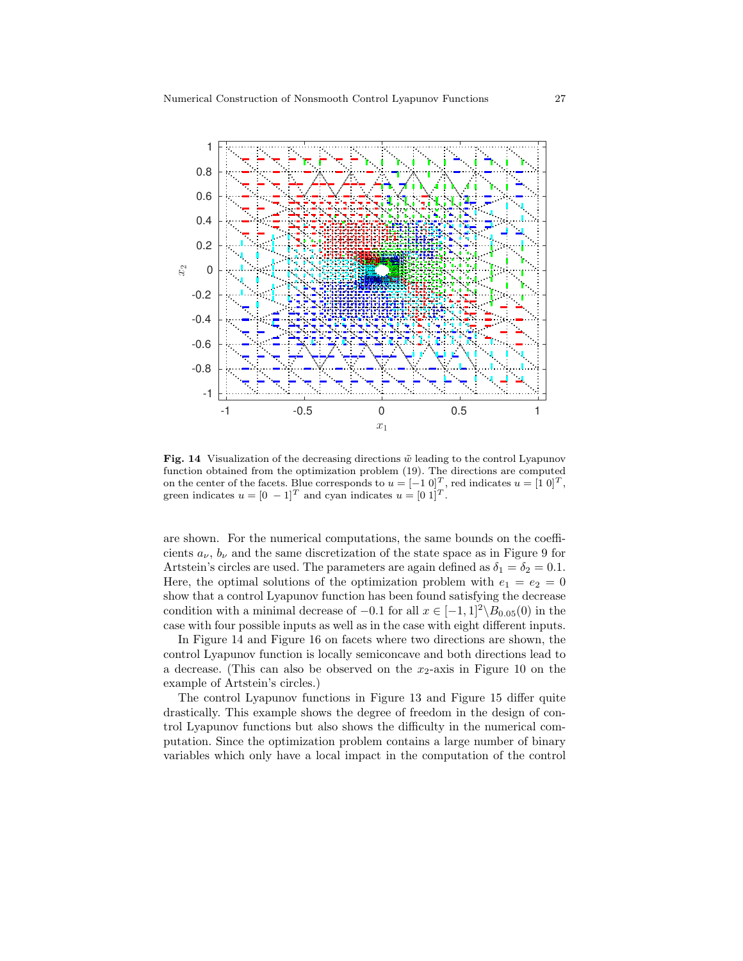

Fig. 14 Visualization of the decreasing directions  $\tilde{w}$  leading to the control Lyapunov function obtained from the optimization problem (19). The directions are computed on the center of the facets. Blue corresponds to  $u = [-1 \ 0]^T$ , red indicates  $u = [1 \ 0]^T$ , green indicates  $u = [0 - 1]^T$  and cyan indicates  $u = [0 \ 1]^T$ .

are shown. For the numerical computations, the same bounds on the coefficients  $a_{\nu}$ ,  $b_{\nu}$  and the same discretization of the state space as in Figure 9 for Artstein's circles are used. The parameters are again defined as  $\delta_1 = \delta_2 = 0.1$ . Here, the optimal solutions of the optimization problem with  $e_1 = e_2 = 0$ show that a control Lyapunov function has been found satisfying the decrease condition with a minimal decrease of  $-0.1$  for all  $x \in [-1,1]^2 \backslash B_{0.05}(0)$  in the case with four possible inputs as well as in the case with eight different inputs.

In Figure 14 and Figure 16 on facets where two directions are shown, the control Lyapunov function is locally semiconcave and both directions lead to a decrease. (This can also be observed on the  $x_2$ -axis in Figure 10 on the example of Artstein's circles.)

The control Lyapunov functions in Figure 13 and Figure 15 differ quite drastically. This example shows the degree of freedom in the design of control Lyapunov functions but also shows the difficulty in the numerical computation. Since the optimization problem contains a large number of binary variables which only have a local impact in the computation of the control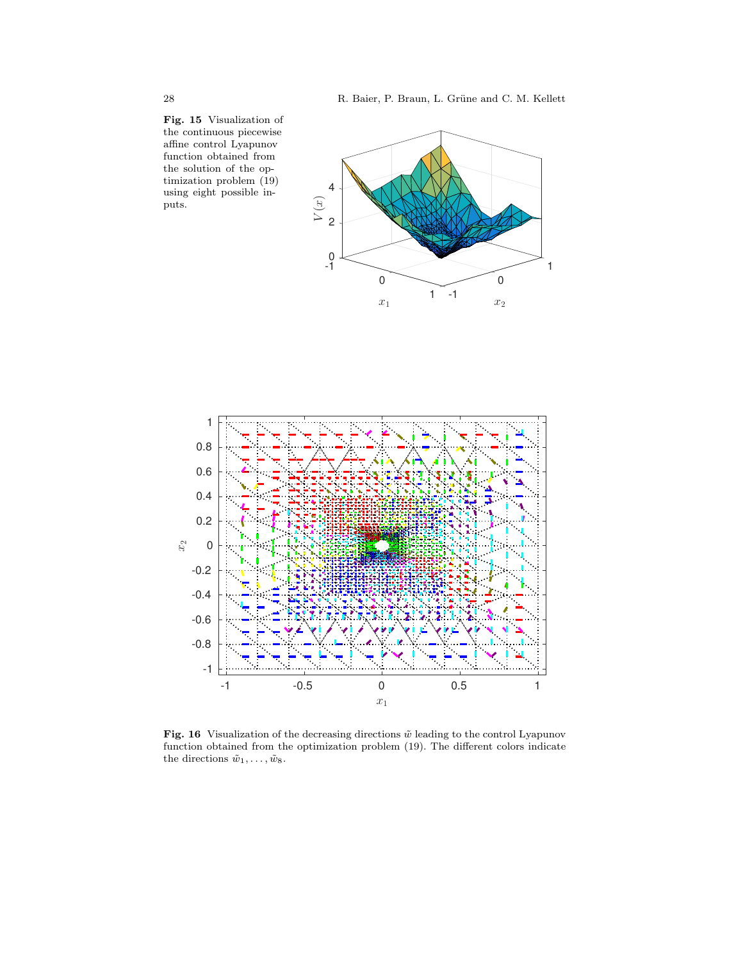Fig. 15 Visualization of the continuous piecewise affine control Lyapunov function obtained from the solution of the optimization problem (19) using eight possible inputs.





Fig. 16 Visualization of the decreasing directions  $\tilde{w}$  leading to the control Lyapunov function obtained from the optimization problem (19). The different colors indicate the directions  $\tilde{w}_1, \ldots, \tilde{w}_8$ .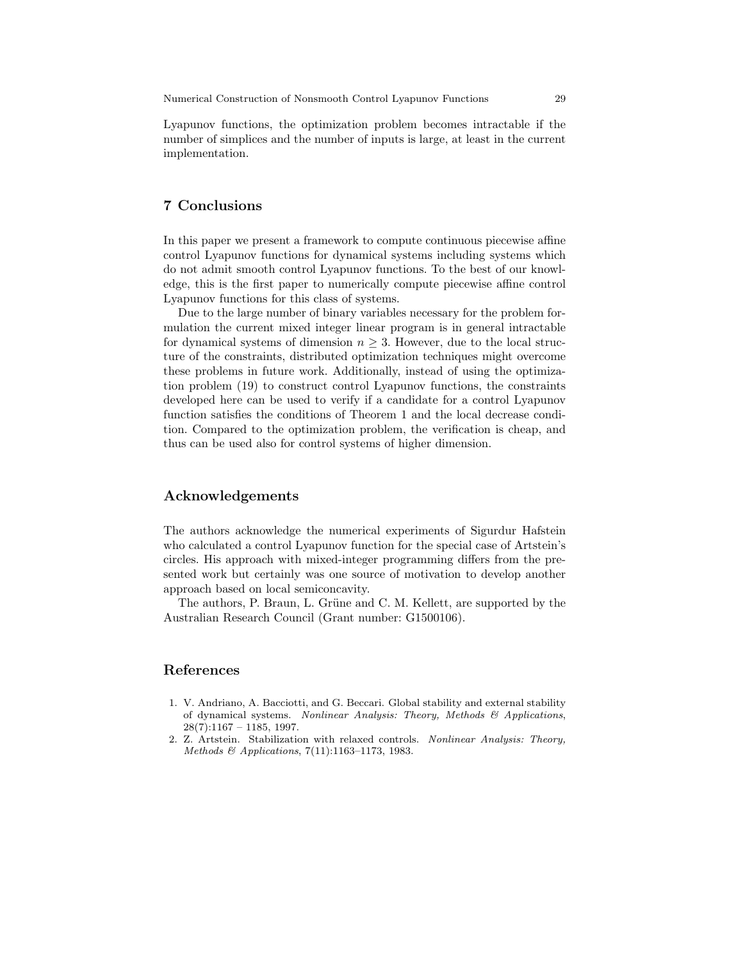Lyapunov functions, the optimization problem becomes intractable if the number of simplices and the number of inputs is large, at least in the current implementation.

### 7 Conclusions

In this paper we present a framework to compute continuous piecewise affine control Lyapunov functions for dynamical systems including systems which do not admit smooth control Lyapunov functions. To the best of our knowledge, this is the first paper to numerically compute piecewise affine control Lyapunov functions for this class of systems.

Due to the large number of binary variables necessary for the problem formulation the current mixed integer linear program is in general intractable for dynamical systems of dimension  $n \geq 3$ . However, due to the local structure of the constraints, distributed optimization techniques might overcome these problems in future work. Additionally, instead of using the optimization problem (19) to construct control Lyapunov functions, the constraints developed here can be used to verify if a candidate for a control Lyapunov function satisfies the conditions of Theorem 1 and the local decrease condition. Compared to the optimization problem, the verification is cheap, and thus can be used also for control systems of higher dimension.

#### Acknowledgements

The authors acknowledge the numerical experiments of Sigurdur Hafstein who calculated a control Lyapunov function for the special case of Artstein's circles. His approach with mixed-integer programming differs from the presented work but certainly was one source of motivation to develop another approach based on local semiconcavity.

The authors, P. Braun, L. Grüne and C. M. Kellett, are supported by the Australian Research Council (Grant number: G1500106).

# References

- 1. V. Andriano, A. Bacciotti, and G. Beccari. Global stability and external stability of dynamical systems. Nonlinear Analysis: Theory, Methods & Applications,  $28(7):1167 - 1185, 1997.$
- 2. Z. Artstein. Stabilization with relaxed controls. Nonlinear Analysis: Theory, Methods & Applications, 7(11):1163–1173, 1983.